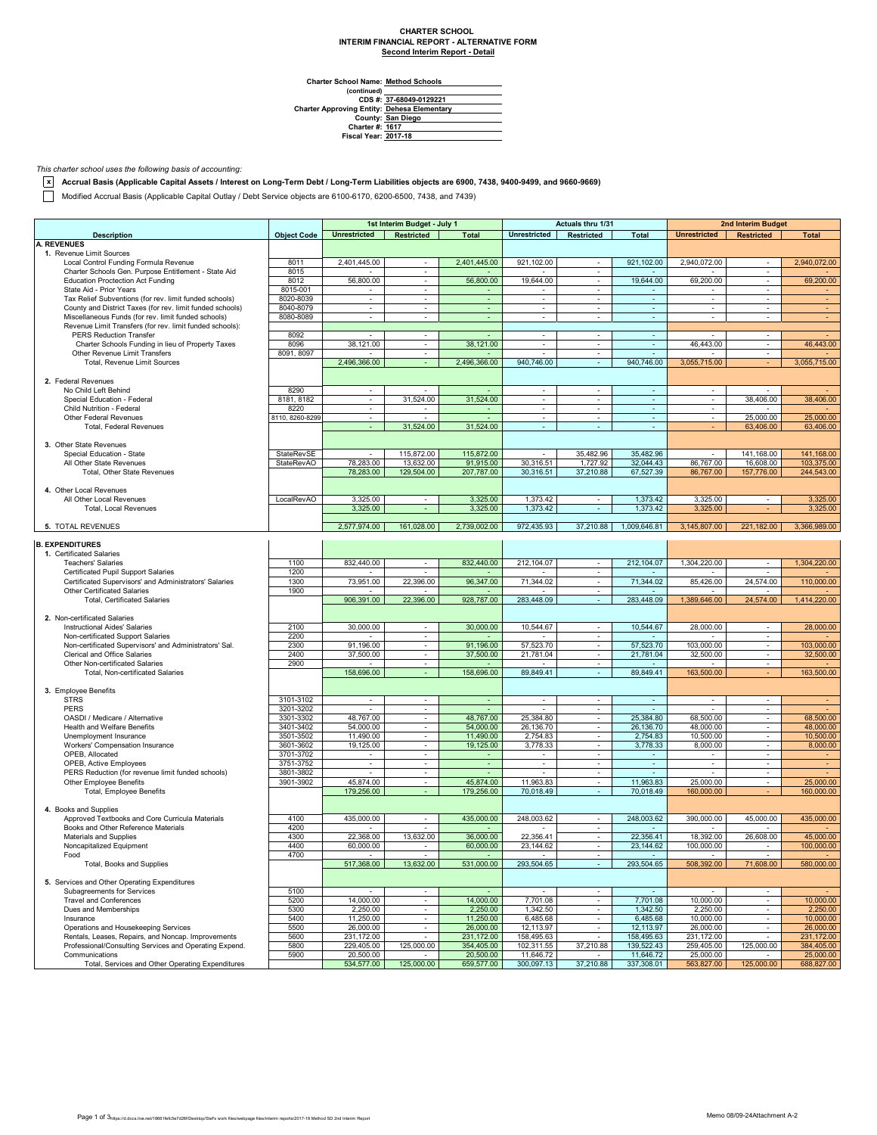## **CHARTER SCHOOL INTERIM FINANCIAL REPORT - ALTERNATIVE FORM Second Interim Report - Detail**

**Charter School Name: Method Schools**

(continued)<br>
CDS #: 37-68049-0129221 **CDS #: Charter Approving Entity: County: Charter #: Fiscal Year: 37-68049-0129221 Dehesa Elementary San Diego 1617 2017-18**

*This charter school uses the following basis of accounting:*

**x Accrual Basis (Applicable Capital Assets / Interest on Long-Term Debt / Long-Term Liabilities objects are 6900, 7438, 9400-9499, and 9660-9669)**

Modified Accrual Basis (Applicable Capital Outlay / Debt Service objects are 6100-6170, 6200-6500, 7438, and 7439)

| <b>Object Code</b><br><b>Unrestricted</b><br><b>Restricted</b><br><b>Total</b><br><b>Unrestricted</b><br>Restricted<br>Total<br><b>Unrestricted</b><br><b>Restricted</b><br><b>Total</b><br><b>Description</b><br>1. Revenue Limit Sources<br>2,401,445.00<br>2,401,445.00<br>921,102.00<br>921.102.00<br>2,940,072.00<br>Local Control Funding Formula Revenue<br>8011<br>2.940.072.00<br>$\sim$<br>$\sim$<br>$\sim$<br>Charter Schools Gen. Purpose Entitlement - State Aid<br>8015<br>$\omega$<br>$\omega$<br>$\omega$<br>19,644.00<br><b>Education Proctection Act Funding</b><br>8012<br>56,800.00<br>56,800.00<br>19,644.00<br>69,200.00<br>69,200.00<br>$\sim$<br>$\omega$<br>$\mathbf{r}$<br>8015-001<br>State Aid - Prior Years<br>$\blacksquare$<br>$\blacksquare$<br>$\mathbf{r}$<br>Tax Relief Subventions (for rev. limit funded schools)<br>8020-8039<br>ä,<br>$\sim$<br>$\blacksquare$<br>$\sim$<br>$\blacksquare$<br>$\blacksquare$<br>ä,<br>$\overline{\phantom{a}}$<br>County and District Taxes (for rev. limit funded schools)<br>8040-8079<br>÷.<br>$\blacksquare$<br>$\overline{\phantom{a}}$<br>÷,<br>$\overline{\phantom{a}}$<br>Miscellaneous Funds (for rev. limit funded schools)<br>8080-8089<br>÷.<br>$\omega$<br>$\sim$<br>$\sim$<br>$\sim$<br>$\sim$<br>$\sim$<br>٠<br>$\sim$<br>Revenue Limit Transfers (for rev. limit funded schools):<br>PERS Reduction Transfer<br>8092<br>$\sim$<br>$\sim$<br>$\omega$<br>$\sim$<br>$\sim$<br>$\sim$<br>$\sim$<br>$\sim$<br>46,443.00<br>Charter Schools Funding in lieu of Property Taxes<br>8096<br>38,121.00<br>38,121.00<br>46,443.00<br>$\sim$<br>$\sim$<br>$\sim$<br>$\omega$<br>$\mathbf{r}$<br>Other Revenue Limit Transfers<br>8091, 8097<br>$\omega$<br>$\omega$<br>$\omega$<br>$\sim$<br>÷.<br>2,496,366.00<br>2,496,366.00<br>940,746.00<br>940,746.00<br>3,055,715.00<br>3,055,715.00<br>Total, Revenue Limit Sources<br>$\Delta \phi$<br>$\sim$<br>2. Federal Revenues<br>8290<br>No Child Left Behind<br>$\omega$<br>$\sim$<br>$\sim$<br>$\sim$<br>$\blacksquare$<br>$\overline{\phantom{a}}$<br>$\sim$<br>8181, 8182<br>31,524.00<br>31,524.00<br>38,406.00<br>38,406.00<br>Special Education - Federal<br>$\sim$<br>$\overline{\phantom{a}}$<br>$\sim$<br>÷<br>$\blacksquare$<br>Child Nutrition - Federal<br>8220<br>$\sim$<br>$\sim$<br>$\sim$<br>$\sim$<br>$\blacksquare$<br>$\sim$<br>$\sim$<br>$\sim$<br>Other Federal Revenues<br>8110, 8260-8299<br>25,000.00<br>25,000.00<br>÷.<br>$\mathbf{r}$<br>$\omega$<br>$\sim$<br>$\sim$<br>$\omega$<br>$\omega$<br>31,524.00<br>Total, Federal Revenues<br>÷.<br>31,524.00<br>÷.<br>÷.<br>÷.<br>÷.<br>63,406.00<br>63,406.00<br>3. Other State Revenues<br>StateRevSE<br>115,872.00<br>115,872.00<br>35,482.96<br>141,168.00<br>141,168.00<br>Special Education - State<br>35,482.96<br>$\blacksquare$<br>$\overline{\phantom{a}}$<br><b>StateRevAO</b><br>78,283.00<br>13,632.00<br>91.915.00<br>30,316.51<br>32,044.43<br>86,767.00<br>16,608.00<br>103,375.00<br>All Other State Revenues<br>1,727.92<br>Total, Other State Revenues<br>78,283.00<br>129,504.00<br>207,787.00<br>30,316.51<br>37,210.88<br>67,527.39<br>86,767.00<br>157,776.00<br>244,543.00<br>4. Other Local Revenues<br>LocalRevAO<br>3.325.00<br>3,325.00<br>1,373.42<br>1,373.42<br>3,325.00<br>3,325.00<br>All Other Local Revenues<br>$\sim$<br>÷.<br>$\sim$<br>3,325.00<br>3,325.00<br>1,373.42<br>1,373.42<br>3,325.00<br>3,325.00<br>Total, Local Revenues<br>2,577,974.00<br>161,028.00<br>2.739.002.00<br>972,435.93<br>37,210.88<br>1,009,646.81<br>5. TOTAL REVENUES<br>3,145,807.00<br>221,182.00<br>3,366,989.00<br><b>B. EXPENDITURES</b><br>1. Certificated Salaries<br>832,440.00<br>212,104.07<br>212,104.07<br><b>Teachers' Salaries</b><br>1100<br>832,440.00<br>1.304.220.00<br>1,304,220.00<br>$\sim$<br>$\sim$<br>$\mathbf{r}$<br>1200<br>Certificated Pupil Support Salaries<br>$\omega$<br>Certificated Supervisors' and Administrators' Salaries<br>1300<br>73,951.00<br>22,396.00<br>96,347.00<br>71,344.02<br>71,344.02<br>85,426.00<br>24,574.00<br>110,000.00<br>$\sim$<br>1900<br>Other Certificated Salaries<br>$\sim$<br>928,787.00<br>283,448.09<br>906,391.00<br>22,396.00<br>283.448.09<br>1,389,646.00<br>24,574.00<br>1,414,220.00<br><b>Total, Certificated Salaries</b><br>$\omega$<br>2. Non-certificated Salaries<br>2100<br>30,000.00<br>30,000.00<br>10,544.67<br>10,544.67<br>28,000.00<br>28,000.00<br><b>Instructional Aides' Salaries</b><br>$\sim$<br>$\sim$<br>$\sim$<br>2200<br>Non-certificated Support Salaries<br>$\sim$<br>$\sim$<br>$\blacksquare$<br>Non-certificated Supervisors' and Administrators' Sal.<br>2300<br>91,196.00<br>91,196.00<br>57,523.70<br>57,523.70<br>103,000.00<br>103,000.00<br>$\sim$<br>$\sim$<br>$\sim$<br>Clerical and Office Salaries<br>37,500.00<br>37,500.00<br>21,781.04<br>21,781.04<br>32,500.00<br>32,500.00<br>2400<br>$\omega$<br>$\omega$<br>$\omega$<br>2900<br>Other Non-certificated Salaries<br>$\mathbf{r}$<br>$\mathbf{r}$<br>$\sim$<br>158,696.00<br>158,696.00<br>89,849.41<br>89,849.41<br>163,500.00<br>163,500.00<br>Total, Non-certificated Salaries<br>$\omega$<br>3. Employee Benefits<br><b>STRS</b><br>3101-3102<br>$\sim$<br>$\sim$<br>$\sim$<br>$\sim$<br>$\sim$<br>$\sim$<br>$\sim$<br>$\sim$<br><b>PERS</b><br>3201-3202<br>$\sim$<br>$\sim$<br>$\overline{\phantom{a}}$<br>$\sim$<br>$\sim$<br>$\sim$<br>$\sim$<br>$\blacksquare$<br>OASDI / Medicare / Alternative<br>48,767.00<br>48,767.00<br>25,384.80<br>25,384.80<br>68,500.00<br>68,500.00<br>3301-3302<br>$\sim$<br>$\omega$<br>$\mathbf{r}$<br>3401-3402<br>54,000.00<br>54,000.00<br>26,136.70<br>48,000.00<br>48,000.00<br>Health and Welfare Benefits<br>$\omega$<br>$\omega$<br>26,136.70<br>$\omega$<br>3501-3502<br>11,490.00<br>11,490.00<br>2,754.83<br>2,754.83<br>10,500.00<br>10,500.00<br>Unemployment Insurance<br>$\omega$<br>$\omega$<br>$\omega$<br>19,125.00<br>19,125.00<br>3,778.33<br>8,000.00<br>8,000.00<br>Workers' Compensation Insurance<br>3601-3602<br>3,778.33<br>$\blacksquare$<br>$\omega$<br>$\mathbf{r}$<br>OPEB, Allocated<br>3701-3702<br>$\overline{\phantom{a}}$<br>$\blacksquare$<br>$\blacksquare$<br>OPEB, Active Employees<br>3751-3752<br>$\omega$<br>÷<br>$\blacksquare$<br>$\blacksquare$<br>$\overline{\phantom{a}}$<br>$\sim$<br>÷<br>$\blacksquare$<br>٠<br>PERS Reduction (for revenue limit funded schools)<br>3801-3802<br>$\sim$<br>$\overline{\phantom{a}}$<br>$\omega$<br>$\sim$<br>$\sim$<br>$\sim$<br>$\sim$<br>$\blacksquare$<br>3901-3902<br>45,874.00<br>45,874.00<br>11,963.83<br>11,963.83<br>25,000.00<br>25,000.00<br>Other Employee Benefits<br>$\sim$<br>$\sim$<br>$\sim$<br>70,018.49<br><b>Total, Employee Benefits</b><br>179,256.00<br>179,256.00<br>70.018.49<br>160,000.00<br>160,000.00<br>$\sim$<br>$\sim$<br>4. Books and Supplies<br>4100<br>435,000.00<br>435,000.00<br>248,003.62<br>248,003.62<br>390,000.00<br>45,000.00<br>435,000.00<br>Approved Textbooks and Core Curricula Materials<br>$\blacksquare$<br>$\sim$<br>Books and Other Reference Materials<br>4200<br>$\overline{\phantom{a}}$<br>22,368.00<br>13,632.00<br>36,000.00<br>22,356.41<br>18,392.00<br>26,608.00<br>45,000.00<br>Materials and Supplies<br>4300<br>22,356.41<br>$\blacksquare$<br>Noncapitalized Equipment<br>4400<br>60,000.00<br>60,000.00<br>23,144.62<br>23, 144.62<br>100,000.00<br>100,000.00<br>$\sim$<br>$\sim$<br>$\sim$<br>4700<br>Food<br>$\sim$<br>$\sim$<br>$\sim$<br>$\sim$<br>$\sim$<br>$\sim$<br>$\sim$<br>Total, Books and Supplies<br>517,368.00<br>13,632.00<br>531,000.00<br>293,504.65<br>293,504.65<br>508,392.00<br>71,608.00<br>580,000.00<br>5. Services and Other Operating Expenditures<br>5100<br>Subagreements for Services<br>$\sim$<br>$\sim$<br>$\sim$<br>$\sim$<br>$\sim$<br>$\sim$<br>$\sim$<br>$\sim$<br>14,000.00<br>14,000.00<br>7,701.08<br>7,701.08<br>10,000.00<br>10,000.00<br>5200<br><b>Travel and Conferences</b><br>$\blacksquare$<br>$\sim$<br>$\blacksquare$<br>2,250,00<br>2,250.00<br>Dues and Memberships<br>5300<br>2,250.00<br>1.342.50<br>1,342.50<br>2,250.00<br>$\sim$<br>$\overline{\phantom{a}}$<br>5400<br>11,250.00<br>11,250.00<br>6,485.68<br>6,485.68<br>10,000.00<br>10,000.00<br>Insurance<br>$\sim$<br>$\sim$<br>$\sim$<br>5500<br>26,000.00<br>26,000.00<br>12,113.97<br>12,113.97<br>26,000.00<br>26,000.00<br>Operations and Housekeeping Services<br>$\sim$<br>$\sim$<br>$\sim$<br>5600<br>231,172.00<br>Rentals, Leases, Repairs, and Noncap. Improvements<br>231,172.00<br>158,495.63<br>158,495.63<br>231,172.00<br>231,172.00<br>$\sim$<br>$\sim$<br>$\sim$<br>125,000.00<br>125,000.00<br>Professional/Consulting Services and Operating Expend.<br>5800<br>229,405.00<br>354,405.00<br>102,311.55<br>37,210.88<br>139,522.43<br>259,405.00<br>384,405.00<br>20,500.00<br>Communications<br>5900<br>20,500.00<br>11,646.72<br>11,646.72<br>25,000.00<br>25,000.00<br>Total, Services and Other Operating Expenditures<br>534,577.00<br>125,000.00<br>659,577.00<br>300,097.13<br>37,210.88<br>337,308.01<br>563,827.00<br>125,000.00<br>688,827.00 |                    |  | 1st Interim Budget - July 1 |  | Actuals thru 1/31 |  | 2nd Interim Budget |  |
|----------------------------------------------------------------------------------------------------------------------------------------------------------------------------------------------------------------------------------------------------------------------------------------------------------------------------------------------------------------------------------------------------------------------------------------------------------------------------------------------------------------------------------------------------------------------------------------------------------------------------------------------------------------------------------------------------------------------------------------------------------------------------------------------------------------------------------------------------------------------------------------------------------------------------------------------------------------------------------------------------------------------------------------------------------------------------------------------------------------------------------------------------------------------------------------------------------------------------------------------------------------------------------------------------------------------------------------------------------------------------------------------------------------------------------------------------------------------------------------------------------------------------------------------------------------------------------------------------------------------------------------------------------------------------------------------------------------------------------------------------------------------------------------------------------------------------------------------------------------------------------------------------------------------------------------------------------------------------------------------------------------------------------------------------------------------------------------------------------------------------------------------------------------------------------------------------------------------------------------------------------------------------------------------------------------------------------------------------------------------------------------------------------------------------------------------------------------------------------------------------------------------------------------------------------------------------------------------------------------------------------------------------------------------------------------------------------------------------------------------------------------------------------------------------------------------------------------------------------------------------------------------------------------------------------------------------------------------------------------------------------------------------------------------------------------------------------------------------------------------------------------------------------------------------------------------------------------------------------------------------------------------------------------------------------------------------------------------------------------------------------------------------------------------------------------------------------------------------------------------------------------------------------------------------------------------------------------------------------------------------------------------------------------------------------------------------------------------------------------------------------------------------------------------------------------------------------------------------------------------------------------------------------------------------------------------------------------------------------------------------------------------------------------------------------------------------------------------------------------------------------------------------------------------------------------------------------------------------------------------------------------------------------------------------------------------------------------------------------------------------------------------------------------------------------------------------------------------------------------------------------------------------------------------------------------------------------------------------------------------------------------------------------------------------------------------------------------------------------------------------------------------------------------------------------------------------------------------------------------------------------------------------------------------------------------------------------------------------------------------------------------------------------------------------------------------------------------------------------------------------------------------------------------------------------------------------------------------------------------------------------------------------------------------------------------------------------------------------------------------------------------------------------------------------------------------------------------------------------------------------------------------------------------------------------------------------------------------------------------------------------------------------------------------------------------------------------------------------------------------------------------------------------------------------------------------------------------------------------------------------------------------------------------------------------------------------------------------------------------------------------------------------------------------------------------------------------------------------------------------------------------------------------------------------------------------------------------------------------------------------------------------------------------------------------------------------------------------------------------------------------------------------------------------------------------------------------------------------------------------------------------------------------------------------------------------------------------------------------------------------------------------------------------------------------------------------------------------------------------------------------------------------------------------------------------------------------------------------------------------------------------------------------------------------------------------------------------------------------------------------------------------------------------------------------------------------------------------------------------------------------------------------------------------------------------------------------------------------------------------------------------------------------------------------------------------------------------------------------------------------------------------------------------------------------------------------------------------------------------------------------------------------------------------------------------------------------------------------------------------------------------------------------------------------------------------------------------------------------------------------------------------------------------------------------------------------------------------------------------------------------------------------------------------------------------------------------------------------------------------------------------------------------------------------------------------------------------------------------------------------------------------------------------------------------------------------------------------------------------------------------------------------------------------------------------------------------------------------------------------------------------------------------------------------------------------------------------------------------------------------------------------------------------------------------------------------------------------------------------------------------------------------------------------------------------------------------------------------------------------------------------------------------------------------------------------------------------------------------------------------------------------------------------------------------------------------------------------------------------------------------------------------------------------------------------------------------------------------------------------------------------------------------------------------------|--------------------|--|-----------------------------|--|-------------------|--|--------------------|--|
|                                                                                                                                                                                                                                                                                                                                                                                                                                                                                                                                                                                                                                                                                                                                                                                                                                                                                                                                                                                                                                                                                                                                                                                                                                                                                                                                                                                                                                                                                                                                                                                                                                                                                                                                                                                                                                                                                                                                                                                                                                                                                                                                                                                                                                                                                                                                                                                                                                                                                                                                                                                                                                                                                                                                                                                                                                                                                                                                                                                                                                                                                                                                                                                                                                                                                                                                                                                                                                                                                                                                                                                                                                                                                                                                                                                                                                                                                                                                                                                                                                                                                                                                                                                                                                                                                                                                                                                                                                                                                                                                                                                                                                                                                                                                                                                                                                                                                                                                                                                                                                                                                                                                                                                                                                                                                                                                                                                                                                                                                                                                                                                                                                                                                                                                                                                                                                                                                                                                                                                                                                                                                                                                                                                                                                                                                                                                                                                                                                                                                                                                                                                                                                                                                                                                                                                                                                                                                                                                                                                                                                                                                                                                                                                                                                                                                                                                                                                                                                                                                                                                                                                                                                                                                                                                                                                                                                                                                                                                                                                                                                                                                                                                                                                                                                                                                                                                                                                                                                                                                                                                                                                                                                                                                                                                                                                                                                                                                                                                                                                                                                                                                                                                                                                  |                    |  |                             |  |                   |  |                    |  |
|                                                                                                                                                                                                                                                                                                                                                                                                                                                                                                                                                                                                                                                                                                                                                                                                                                                                                                                                                                                                                                                                                                                                                                                                                                                                                                                                                                                                                                                                                                                                                                                                                                                                                                                                                                                                                                                                                                                                                                                                                                                                                                                                                                                                                                                                                                                                                                                                                                                                                                                                                                                                                                                                                                                                                                                                                                                                                                                                                                                                                                                                                                                                                                                                                                                                                                                                                                                                                                                                                                                                                                                                                                                                                                                                                                                                                                                                                                                                                                                                                                                                                                                                                                                                                                                                                                                                                                                                                                                                                                                                                                                                                                                                                                                                                                                                                                                                                                                                                                                                                                                                                                                                                                                                                                                                                                                                                                                                                                                                                                                                                                                                                                                                                                                                                                                                                                                                                                                                                                                                                                                                                                                                                                                                                                                                                                                                                                                                                                                                                                                                                                                                                                                                                                                                                                                                                                                                                                                                                                                                                                                                                                                                                                                                                                                                                                                                                                                                                                                                                                                                                                                                                                                                                                                                                                                                                                                                                                                                                                                                                                                                                                                                                                                                                                                                                                                                                                                                                                                                                                                                                                                                                                                                                                                                                                                                                                                                                                                                                                                                                                                                                                                                                                                  | <b>A. REVENUES</b> |  |                             |  |                   |  |                    |  |
|                                                                                                                                                                                                                                                                                                                                                                                                                                                                                                                                                                                                                                                                                                                                                                                                                                                                                                                                                                                                                                                                                                                                                                                                                                                                                                                                                                                                                                                                                                                                                                                                                                                                                                                                                                                                                                                                                                                                                                                                                                                                                                                                                                                                                                                                                                                                                                                                                                                                                                                                                                                                                                                                                                                                                                                                                                                                                                                                                                                                                                                                                                                                                                                                                                                                                                                                                                                                                                                                                                                                                                                                                                                                                                                                                                                                                                                                                                                                                                                                                                                                                                                                                                                                                                                                                                                                                                                                                                                                                                                                                                                                                                                                                                                                                                                                                                                                                                                                                                                                                                                                                                                                                                                                                                                                                                                                                                                                                                                                                                                                                                                                                                                                                                                                                                                                                                                                                                                                                                                                                                                                                                                                                                                                                                                                                                                                                                                                                                                                                                                                                                                                                                                                                                                                                                                                                                                                                                                                                                                                                                                                                                                                                                                                                                                                                                                                                                                                                                                                                                                                                                                                                                                                                                                                                                                                                                                                                                                                                                                                                                                                                                                                                                                                                                                                                                                                                                                                                                                                                                                                                                                                                                                                                                                                                                                                                                                                                                                                                                                                                                                                                                                                                                                  |                    |  |                             |  |                   |  |                    |  |
|                                                                                                                                                                                                                                                                                                                                                                                                                                                                                                                                                                                                                                                                                                                                                                                                                                                                                                                                                                                                                                                                                                                                                                                                                                                                                                                                                                                                                                                                                                                                                                                                                                                                                                                                                                                                                                                                                                                                                                                                                                                                                                                                                                                                                                                                                                                                                                                                                                                                                                                                                                                                                                                                                                                                                                                                                                                                                                                                                                                                                                                                                                                                                                                                                                                                                                                                                                                                                                                                                                                                                                                                                                                                                                                                                                                                                                                                                                                                                                                                                                                                                                                                                                                                                                                                                                                                                                                                                                                                                                                                                                                                                                                                                                                                                                                                                                                                                                                                                                                                                                                                                                                                                                                                                                                                                                                                                                                                                                                                                                                                                                                                                                                                                                                                                                                                                                                                                                                                                                                                                                                                                                                                                                                                                                                                                                                                                                                                                                                                                                                                                                                                                                                                                                                                                                                                                                                                                                                                                                                                                                                                                                                                                                                                                                                                                                                                                                                                                                                                                                                                                                                                                                                                                                                                                                                                                                                                                                                                                                                                                                                                                                                                                                                                                                                                                                                                                                                                                                                                                                                                                                                                                                                                                                                                                                                                                                                                                                                                                                                                                                                                                                                                                                                  |                    |  |                             |  |                   |  |                    |  |
|                                                                                                                                                                                                                                                                                                                                                                                                                                                                                                                                                                                                                                                                                                                                                                                                                                                                                                                                                                                                                                                                                                                                                                                                                                                                                                                                                                                                                                                                                                                                                                                                                                                                                                                                                                                                                                                                                                                                                                                                                                                                                                                                                                                                                                                                                                                                                                                                                                                                                                                                                                                                                                                                                                                                                                                                                                                                                                                                                                                                                                                                                                                                                                                                                                                                                                                                                                                                                                                                                                                                                                                                                                                                                                                                                                                                                                                                                                                                                                                                                                                                                                                                                                                                                                                                                                                                                                                                                                                                                                                                                                                                                                                                                                                                                                                                                                                                                                                                                                                                                                                                                                                                                                                                                                                                                                                                                                                                                                                                                                                                                                                                                                                                                                                                                                                                                                                                                                                                                                                                                                                                                                                                                                                                                                                                                                                                                                                                                                                                                                                                                                                                                                                                                                                                                                                                                                                                                                                                                                                                                                                                                                                                                                                                                                                                                                                                                                                                                                                                                                                                                                                                                                                                                                                                                                                                                                                                                                                                                                                                                                                                                                                                                                                                                                                                                                                                                                                                                                                                                                                                                                                                                                                                                                                                                                                                                                                                                                                                                                                                                                                                                                                                                                                  |                    |  |                             |  |                   |  |                    |  |
|                                                                                                                                                                                                                                                                                                                                                                                                                                                                                                                                                                                                                                                                                                                                                                                                                                                                                                                                                                                                                                                                                                                                                                                                                                                                                                                                                                                                                                                                                                                                                                                                                                                                                                                                                                                                                                                                                                                                                                                                                                                                                                                                                                                                                                                                                                                                                                                                                                                                                                                                                                                                                                                                                                                                                                                                                                                                                                                                                                                                                                                                                                                                                                                                                                                                                                                                                                                                                                                                                                                                                                                                                                                                                                                                                                                                                                                                                                                                                                                                                                                                                                                                                                                                                                                                                                                                                                                                                                                                                                                                                                                                                                                                                                                                                                                                                                                                                                                                                                                                                                                                                                                                                                                                                                                                                                                                                                                                                                                                                                                                                                                                                                                                                                                                                                                                                                                                                                                                                                                                                                                                                                                                                                                                                                                                                                                                                                                                                                                                                                                                                                                                                                                                                                                                                                                                                                                                                                                                                                                                                                                                                                                                                                                                                                                                                                                                                                                                                                                                                                                                                                                                                                                                                                                                                                                                                                                                                                                                                                                                                                                                                                                                                                                                                                                                                                                                                                                                                                                                                                                                                                                                                                                                                                                                                                                                                                                                                                                                                                                                                                                                                                                                                                                  |                    |  |                             |  |                   |  |                    |  |
|                                                                                                                                                                                                                                                                                                                                                                                                                                                                                                                                                                                                                                                                                                                                                                                                                                                                                                                                                                                                                                                                                                                                                                                                                                                                                                                                                                                                                                                                                                                                                                                                                                                                                                                                                                                                                                                                                                                                                                                                                                                                                                                                                                                                                                                                                                                                                                                                                                                                                                                                                                                                                                                                                                                                                                                                                                                                                                                                                                                                                                                                                                                                                                                                                                                                                                                                                                                                                                                                                                                                                                                                                                                                                                                                                                                                                                                                                                                                                                                                                                                                                                                                                                                                                                                                                                                                                                                                                                                                                                                                                                                                                                                                                                                                                                                                                                                                                                                                                                                                                                                                                                                                                                                                                                                                                                                                                                                                                                                                                                                                                                                                                                                                                                                                                                                                                                                                                                                                                                                                                                                                                                                                                                                                                                                                                                                                                                                                                                                                                                                                                                                                                                                                                                                                                                                                                                                                                                                                                                                                                                                                                                                                                                                                                                                                                                                                                                                                                                                                                                                                                                                                                                                                                                                                                                                                                                                                                                                                                                                                                                                                                                                                                                                                                                                                                                                                                                                                                                                                                                                                                                                                                                                                                                                                                                                                                                                                                                                                                                                                                                                                                                                                                                                  |                    |  |                             |  |                   |  |                    |  |
|                                                                                                                                                                                                                                                                                                                                                                                                                                                                                                                                                                                                                                                                                                                                                                                                                                                                                                                                                                                                                                                                                                                                                                                                                                                                                                                                                                                                                                                                                                                                                                                                                                                                                                                                                                                                                                                                                                                                                                                                                                                                                                                                                                                                                                                                                                                                                                                                                                                                                                                                                                                                                                                                                                                                                                                                                                                                                                                                                                                                                                                                                                                                                                                                                                                                                                                                                                                                                                                                                                                                                                                                                                                                                                                                                                                                                                                                                                                                                                                                                                                                                                                                                                                                                                                                                                                                                                                                                                                                                                                                                                                                                                                                                                                                                                                                                                                                                                                                                                                                                                                                                                                                                                                                                                                                                                                                                                                                                                                                                                                                                                                                                                                                                                                                                                                                                                                                                                                                                                                                                                                                                                                                                                                                                                                                                                                                                                                                                                                                                                                                                                                                                                                                                                                                                                                                                                                                                                                                                                                                                                                                                                                                                                                                                                                                                                                                                                                                                                                                                                                                                                                                                                                                                                                                                                                                                                                                                                                                                                                                                                                                                                                                                                                                                                                                                                                                                                                                                                                                                                                                                                                                                                                                                                                                                                                                                                                                                                                                                                                                                                                                                                                                                                                  |                    |  |                             |  |                   |  |                    |  |
|                                                                                                                                                                                                                                                                                                                                                                                                                                                                                                                                                                                                                                                                                                                                                                                                                                                                                                                                                                                                                                                                                                                                                                                                                                                                                                                                                                                                                                                                                                                                                                                                                                                                                                                                                                                                                                                                                                                                                                                                                                                                                                                                                                                                                                                                                                                                                                                                                                                                                                                                                                                                                                                                                                                                                                                                                                                                                                                                                                                                                                                                                                                                                                                                                                                                                                                                                                                                                                                                                                                                                                                                                                                                                                                                                                                                                                                                                                                                                                                                                                                                                                                                                                                                                                                                                                                                                                                                                                                                                                                                                                                                                                                                                                                                                                                                                                                                                                                                                                                                                                                                                                                                                                                                                                                                                                                                                                                                                                                                                                                                                                                                                                                                                                                                                                                                                                                                                                                                                                                                                                                                                                                                                                                                                                                                                                                                                                                                                                                                                                                                                                                                                                                                                                                                                                                                                                                                                                                                                                                                                                                                                                                                                                                                                                                                                                                                                                                                                                                                                                                                                                                                                                                                                                                                                                                                                                                                                                                                                                                                                                                                                                                                                                                                                                                                                                                                                                                                                                                                                                                                                                                                                                                                                                                                                                                                                                                                                                                                                                                                                                                                                                                                                                                  |                    |  |                             |  |                   |  |                    |  |
|                                                                                                                                                                                                                                                                                                                                                                                                                                                                                                                                                                                                                                                                                                                                                                                                                                                                                                                                                                                                                                                                                                                                                                                                                                                                                                                                                                                                                                                                                                                                                                                                                                                                                                                                                                                                                                                                                                                                                                                                                                                                                                                                                                                                                                                                                                                                                                                                                                                                                                                                                                                                                                                                                                                                                                                                                                                                                                                                                                                                                                                                                                                                                                                                                                                                                                                                                                                                                                                                                                                                                                                                                                                                                                                                                                                                                                                                                                                                                                                                                                                                                                                                                                                                                                                                                                                                                                                                                                                                                                                                                                                                                                                                                                                                                                                                                                                                                                                                                                                                                                                                                                                                                                                                                                                                                                                                                                                                                                                                                                                                                                                                                                                                                                                                                                                                                                                                                                                                                                                                                                                                                                                                                                                                                                                                                                                                                                                                                                                                                                                                                                                                                                                                                                                                                                                                                                                                                                                                                                                                                                                                                                                                                                                                                                                                                                                                                                                                                                                                                                                                                                                                                                                                                                                                                                                                                                                                                                                                                                                                                                                                                                                                                                                                                                                                                                                                                                                                                                                                                                                                                                                                                                                                                                                                                                                                                                                                                                                                                                                                                                                                                                                                                                                  |                    |  |                             |  |                   |  |                    |  |
|                                                                                                                                                                                                                                                                                                                                                                                                                                                                                                                                                                                                                                                                                                                                                                                                                                                                                                                                                                                                                                                                                                                                                                                                                                                                                                                                                                                                                                                                                                                                                                                                                                                                                                                                                                                                                                                                                                                                                                                                                                                                                                                                                                                                                                                                                                                                                                                                                                                                                                                                                                                                                                                                                                                                                                                                                                                                                                                                                                                                                                                                                                                                                                                                                                                                                                                                                                                                                                                                                                                                                                                                                                                                                                                                                                                                                                                                                                                                                                                                                                                                                                                                                                                                                                                                                                                                                                                                                                                                                                                                                                                                                                                                                                                                                                                                                                                                                                                                                                                                                                                                                                                                                                                                                                                                                                                                                                                                                                                                                                                                                                                                                                                                                                                                                                                                                                                                                                                                                                                                                                                                                                                                                                                                                                                                                                                                                                                                                                                                                                                                                                                                                                                                                                                                                                                                                                                                                                                                                                                                                                                                                                                                                                                                                                                                                                                                                                                                                                                                                                                                                                                                                                                                                                                                                                                                                                                                                                                                                                                                                                                                                                                                                                                                                                                                                                                                                                                                                                                                                                                                                                                                                                                                                                                                                                                                                                                                                                                                                                                                                                                                                                                                                                                  |                    |  |                             |  |                   |  |                    |  |
|                                                                                                                                                                                                                                                                                                                                                                                                                                                                                                                                                                                                                                                                                                                                                                                                                                                                                                                                                                                                                                                                                                                                                                                                                                                                                                                                                                                                                                                                                                                                                                                                                                                                                                                                                                                                                                                                                                                                                                                                                                                                                                                                                                                                                                                                                                                                                                                                                                                                                                                                                                                                                                                                                                                                                                                                                                                                                                                                                                                                                                                                                                                                                                                                                                                                                                                                                                                                                                                                                                                                                                                                                                                                                                                                                                                                                                                                                                                                                                                                                                                                                                                                                                                                                                                                                                                                                                                                                                                                                                                                                                                                                                                                                                                                                                                                                                                                                                                                                                                                                                                                                                                                                                                                                                                                                                                                                                                                                                                                                                                                                                                                                                                                                                                                                                                                                                                                                                                                                                                                                                                                                                                                                                                                                                                                                                                                                                                                                                                                                                                                                                                                                                                                                                                                                                                                                                                                                                                                                                                                                                                                                                                                                                                                                                                                                                                                                                                                                                                                                                                                                                                                                                                                                                                                                                                                                                                                                                                                                                                                                                                                                                                                                                                                                                                                                                                                                                                                                                                                                                                                                                                                                                                                                                                                                                                                                                                                                                                                                                                                                                                                                                                                                                                  |                    |  |                             |  |                   |  |                    |  |
|                                                                                                                                                                                                                                                                                                                                                                                                                                                                                                                                                                                                                                                                                                                                                                                                                                                                                                                                                                                                                                                                                                                                                                                                                                                                                                                                                                                                                                                                                                                                                                                                                                                                                                                                                                                                                                                                                                                                                                                                                                                                                                                                                                                                                                                                                                                                                                                                                                                                                                                                                                                                                                                                                                                                                                                                                                                                                                                                                                                                                                                                                                                                                                                                                                                                                                                                                                                                                                                                                                                                                                                                                                                                                                                                                                                                                                                                                                                                                                                                                                                                                                                                                                                                                                                                                                                                                                                                                                                                                                                                                                                                                                                                                                                                                                                                                                                                                                                                                                                                                                                                                                                                                                                                                                                                                                                                                                                                                                                                                                                                                                                                                                                                                                                                                                                                                                                                                                                                                                                                                                                                                                                                                                                                                                                                                                                                                                                                                                                                                                                                                                                                                                                                                                                                                                                                                                                                                                                                                                                                                                                                                                                                                                                                                                                                                                                                                                                                                                                                                                                                                                                                                                                                                                                                                                                                                                                                                                                                                                                                                                                                                                                                                                                                                                                                                                                                                                                                                                                                                                                                                                                                                                                                                                                                                                                                                                                                                                                                                                                                                                                                                                                                                                                  |                    |  |                             |  |                   |  |                    |  |
|                                                                                                                                                                                                                                                                                                                                                                                                                                                                                                                                                                                                                                                                                                                                                                                                                                                                                                                                                                                                                                                                                                                                                                                                                                                                                                                                                                                                                                                                                                                                                                                                                                                                                                                                                                                                                                                                                                                                                                                                                                                                                                                                                                                                                                                                                                                                                                                                                                                                                                                                                                                                                                                                                                                                                                                                                                                                                                                                                                                                                                                                                                                                                                                                                                                                                                                                                                                                                                                                                                                                                                                                                                                                                                                                                                                                                                                                                                                                                                                                                                                                                                                                                                                                                                                                                                                                                                                                                                                                                                                                                                                                                                                                                                                                                                                                                                                                                                                                                                                                                                                                                                                                                                                                                                                                                                                                                                                                                                                                                                                                                                                                                                                                                                                                                                                                                                                                                                                                                                                                                                                                                                                                                                                                                                                                                                                                                                                                                                                                                                                                                                                                                                                                                                                                                                                                                                                                                                                                                                                                                                                                                                                                                                                                                                                                                                                                                                                                                                                                                                                                                                                                                                                                                                                                                                                                                                                                                                                                                                                                                                                                                                                                                                                                                                                                                                                                                                                                                                                                                                                                                                                                                                                                                                                                                                                                                                                                                                                                                                                                                                                                                                                                                                                  |                    |  |                             |  |                   |  |                    |  |
|                                                                                                                                                                                                                                                                                                                                                                                                                                                                                                                                                                                                                                                                                                                                                                                                                                                                                                                                                                                                                                                                                                                                                                                                                                                                                                                                                                                                                                                                                                                                                                                                                                                                                                                                                                                                                                                                                                                                                                                                                                                                                                                                                                                                                                                                                                                                                                                                                                                                                                                                                                                                                                                                                                                                                                                                                                                                                                                                                                                                                                                                                                                                                                                                                                                                                                                                                                                                                                                                                                                                                                                                                                                                                                                                                                                                                                                                                                                                                                                                                                                                                                                                                                                                                                                                                                                                                                                                                                                                                                                                                                                                                                                                                                                                                                                                                                                                                                                                                                                                                                                                                                                                                                                                                                                                                                                                                                                                                                                                                                                                                                                                                                                                                                                                                                                                                                                                                                                                                                                                                                                                                                                                                                                                                                                                                                                                                                                                                                                                                                                                                                                                                                                                                                                                                                                                                                                                                                                                                                                                                                                                                                                                                                                                                                                                                                                                                                                                                                                                                                                                                                                                                                                                                                                                                                                                                                                                                                                                                                                                                                                                                                                                                                                                                                                                                                                                                                                                                                                                                                                                                                                                                                                                                                                                                                                                                                                                                                                                                                                                                                                                                                                                                                                  |                    |  |                             |  |                   |  |                    |  |
|                                                                                                                                                                                                                                                                                                                                                                                                                                                                                                                                                                                                                                                                                                                                                                                                                                                                                                                                                                                                                                                                                                                                                                                                                                                                                                                                                                                                                                                                                                                                                                                                                                                                                                                                                                                                                                                                                                                                                                                                                                                                                                                                                                                                                                                                                                                                                                                                                                                                                                                                                                                                                                                                                                                                                                                                                                                                                                                                                                                                                                                                                                                                                                                                                                                                                                                                                                                                                                                                                                                                                                                                                                                                                                                                                                                                                                                                                                                                                                                                                                                                                                                                                                                                                                                                                                                                                                                                                                                                                                                                                                                                                                                                                                                                                                                                                                                                                                                                                                                                                                                                                                                                                                                                                                                                                                                                                                                                                                                                                                                                                                                                                                                                                                                                                                                                                                                                                                                                                                                                                                                                                                                                                                                                                                                                                                                                                                                                                                                                                                                                                                                                                                                                                                                                                                                                                                                                                                                                                                                                                                                                                                                                                                                                                                                                                                                                                                                                                                                                                                                                                                                                                                                                                                                                                                                                                                                                                                                                                                                                                                                                                                                                                                                                                                                                                                                                                                                                                                                                                                                                                                                                                                                                                                                                                                                                                                                                                                                                                                                                                                                                                                                                                                                  |                    |  |                             |  |                   |  |                    |  |
|                                                                                                                                                                                                                                                                                                                                                                                                                                                                                                                                                                                                                                                                                                                                                                                                                                                                                                                                                                                                                                                                                                                                                                                                                                                                                                                                                                                                                                                                                                                                                                                                                                                                                                                                                                                                                                                                                                                                                                                                                                                                                                                                                                                                                                                                                                                                                                                                                                                                                                                                                                                                                                                                                                                                                                                                                                                                                                                                                                                                                                                                                                                                                                                                                                                                                                                                                                                                                                                                                                                                                                                                                                                                                                                                                                                                                                                                                                                                                                                                                                                                                                                                                                                                                                                                                                                                                                                                                                                                                                                                                                                                                                                                                                                                                                                                                                                                                                                                                                                                                                                                                                                                                                                                                                                                                                                                                                                                                                                                                                                                                                                                                                                                                                                                                                                                                                                                                                                                                                                                                                                                                                                                                                                                                                                                                                                                                                                                                                                                                                                                                                                                                                                                                                                                                                                                                                                                                                                                                                                                                                                                                                                                                                                                                                                                                                                                                                                                                                                                                                                                                                                                                                                                                                                                                                                                                                                                                                                                                                                                                                                                                                                                                                                                                                                                                                                                                                                                                                                                                                                                                                                                                                                                                                                                                                                                                                                                                                                                                                                                                                                                                                                                                                                  |                    |  |                             |  |                   |  |                    |  |
|                                                                                                                                                                                                                                                                                                                                                                                                                                                                                                                                                                                                                                                                                                                                                                                                                                                                                                                                                                                                                                                                                                                                                                                                                                                                                                                                                                                                                                                                                                                                                                                                                                                                                                                                                                                                                                                                                                                                                                                                                                                                                                                                                                                                                                                                                                                                                                                                                                                                                                                                                                                                                                                                                                                                                                                                                                                                                                                                                                                                                                                                                                                                                                                                                                                                                                                                                                                                                                                                                                                                                                                                                                                                                                                                                                                                                                                                                                                                                                                                                                                                                                                                                                                                                                                                                                                                                                                                                                                                                                                                                                                                                                                                                                                                                                                                                                                                                                                                                                                                                                                                                                                                                                                                                                                                                                                                                                                                                                                                                                                                                                                                                                                                                                                                                                                                                                                                                                                                                                                                                                                                                                                                                                                                                                                                                                                                                                                                                                                                                                                                                                                                                                                                                                                                                                                                                                                                                                                                                                                                                                                                                                                                                                                                                                                                                                                                                                                                                                                                                                                                                                                                                                                                                                                                                                                                                                                                                                                                                                                                                                                                                                                                                                                                                                                                                                                                                                                                                                                                                                                                                                                                                                                                                                                                                                                                                                                                                                                                                                                                                                                                                                                                                                                  |                    |  |                             |  |                   |  |                    |  |
|                                                                                                                                                                                                                                                                                                                                                                                                                                                                                                                                                                                                                                                                                                                                                                                                                                                                                                                                                                                                                                                                                                                                                                                                                                                                                                                                                                                                                                                                                                                                                                                                                                                                                                                                                                                                                                                                                                                                                                                                                                                                                                                                                                                                                                                                                                                                                                                                                                                                                                                                                                                                                                                                                                                                                                                                                                                                                                                                                                                                                                                                                                                                                                                                                                                                                                                                                                                                                                                                                                                                                                                                                                                                                                                                                                                                                                                                                                                                                                                                                                                                                                                                                                                                                                                                                                                                                                                                                                                                                                                                                                                                                                                                                                                                                                                                                                                                                                                                                                                                                                                                                                                                                                                                                                                                                                                                                                                                                                                                                                                                                                                                                                                                                                                                                                                                                                                                                                                                                                                                                                                                                                                                                                                                                                                                                                                                                                                                                                                                                                                                                                                                                                                                                                                                                                                                                                                                                                                                                                                                                                                                                                                                                                                                                                                                                                                                                                                                                                                                                                                                                                                                                                                                                                                                                                                                                                                                                                                                                                                                                                                                                                                                                                                                                                                                                                                                                                                                                                                                                                                                                                                                                                                                                                                                                                                                                                                                                                                                                                                                                                                                                                                                                                                  |                    |  |                             |  |                   |  |                    |  |
|                                                                                                                                                                                                                                                                                                                                                                                                                                                                                                                                                                                                                                                                                                                                                                                                                                                                                                                                                                                                                                                                                                                                                                                                                                                                                                                                                                                                                                                                                                                                                                                                                                                                                                                                                                                                                                                                                                                                                                                                                                                                                                                                                                                                                                                                                                                                                                                                                                                                                                                                                                                                                                                                                                                                                                                                                                                                                                                                                                                                                                                                                                                                                                                                                                                                                                                                                                                                                                                                                                                                                                                                                                                                                                                                                                                                                                                                                                                                                                                                                                                                                                                                                                                                                                                                                                                                                                                                                                                                                                                                                                                                                                                                                                                                                                                                                                                                                                                                                                                                                                                                                                                                                                                                                                                                                                                                                                                                                                                                                                                                                                                                                                                                                                                                                                                                                                                                                                                                                                                                                                                                                                                                                                                                                                                                                                                                                                                                                                                                                                                                                                                                                                                                                                                                                                                                                                                                                                                                                                                                                                                                                                                                                                                                                                                                                                                                                                                                                                                                                                                                                                                                                                                                                                                                                                                                                                                                                                                                                                                                                                                                                                                                                                                                                                                                                                                                                                                                                                                                                                                                                                                                                                                                                                                                                                                                                                                                                                                                                                                                                                                                                                                                                                                  |                    |  |                             |  |                   |  |                    |  |
|                                                                                                                                                                                                                                                                                                                                                                                                                                                                                                                                                                                                                                                                                                                                                                                                                                                                                                                                                                                                                                                                                                                                                                                                                                                                                                                                                                                                                                                                                                                                                                                                                                                                                                                                                                                                                                                                                                                                                                                                                                                                                                                                                                                                                                                                                                                                                                                                                                                                                                                                                                                                                                                                                                                                                                                                                                                                                                                                                                                                                                                                                                                                                                                                                                                                                                                                                                                                                                                                                                                                                                                                                                                                                                                                                                                                                                                                                                                                                                                                                                                                                                                                                                                                                                                                                                                                                                                                                                                                                                                                                                                                                                                                                                                                                                                                                                                                                                                                                                                                                                                                                                                                                                                                                                                                                                                                                                                                                                                                                                                                                                                                                                                                                                                                                                                                                                                                                                                                                                                                                                                                                                                                                                                                                                                                                                                                                                                                                                                                                                                                                                                                                                                                                                                                                                                                                                                                                                                                                                                                                                                                                                                                                                                                                                                                                                                                                                                                                                                                                                                                                                                                                                                                                                                                                                                                                                                                                                                                                                                                                                                                                                                                                                                                                                                                                                                                                                                                                                                                                                                                                                                                                                                                                                                                                                                                                                                                                                                                                                                                                                                                                                                                                                                  |                    |  |                             |  |                   |  |                    |  |
|                                                                                                                                                                                                                                                                                                                                                                                                                                                                                                                                                                                                                                                                                                                                                                                                                                                                                                                                                                                                                                                                                                                                                                                                                                                                                                                                                                                                                                                                                                                                                                                                                                                                                                                                                                                                                                                                                                                                                                                                                                                                                                                                                                                                                                                                                                                                                                                                                                                                                                                                                                                                                                                                                                                                                                                                                                                                                                                                                                                                                                                                                                                                                                                                                                                                                                                                                                                                                                                                                                                                                                                                                                                                                                                                                                                                                                                                                                                                                                                                                                                                                                                                                                                                                                                                                                                                                                                                                                                                                                                                                                                                                                                                                                                                                                                                                                                                                                                                                                                                                                                                                                                                                                                                                                                                                                                                                                                                                                                                                                                                                                                                                                                                                                                                                                                                                                                                                                                                                                                                                                                                                                                                                                                                                                                                                                                                                                                                                                                                                                                                                                                                                                                                                                                                                                                                                                                                                                                                                                                                                                                                                                                                                                                                                                                                                                                                                                                                                                                                                                                                                                                                                                                                                                                                                                                                                                                                                                                                                                                                                                                                                                                                                                                                                                                                                                                                                                                                                                                                                                                                                                                                                                                                                                                                                                                                                                                                                                                                                                                                                                                                                                                                                                                  |                    |  |                             |  |                   |  |                    |  |
|                                                                                                                                                                                                                                                                                                                                                                                                                                                                                                                                                                                                                                                                                                                                                                                                                                                                                                                                                                                                                                                                                                                                                                                                                                                                                                                                                                                                                                                                                                                                                                                                                                                                                                                                                                                                                                                                                                                                                                                                                                                                                                                                                                                                                                                                                                                                                                                                                                                                                                                                                                                                                                                                                                                                                                                                                                                                                                                                                                                                                                                                                                                                                                                                                                                                                                                                                                                                                                                                                                                                                                                                                                                                                                                                                                                                                                                                                                                                                                                                                                                                                                                                                                                                                                                                                                                                                                                                                                                                                                                                                                                                                                                                                                                                                                                                                                                                                                                                                                                                                                                                                                                                                                                                                                                                                                                                                                                                                                                                                                                                                                                                                                                                                                                                                                                                                                                                                                                                                                                                                                                                                                                                                                                                                                                                                                                                                                                                                                                                                                                                                                                                                                                                                                                                                                                                                                                                                                                                                                                                                                                                                                                                                                                                                                                                                                                                                                                                                                                                                                                                                                                                                                                                                                                                                                                                                                                                                                                                                                                                                                                                                                                                                                                                                                                                                                                                                                                                                                                                                                                                                                                                                                                                                                                                                                                                                                                                                                                                                                                                                                                                                                                                                                                  |                    |  |                             |  |                   |  |                    |  |
|                                                                                                                                                                                                                                                                                                                                                                                                                                                                                                                                                                                                                                                                                                                                                                                                                                                                                                                                                                                                                                                                                                                                                                                                                                                                                                                                                                                                                                                                                                                                                                                                                                                                                                                                                                                                                                                                                                                                                                                                                                                                                                                                                                                                                                                                                                                                                                                                                                                                                                                                                                                                                                                                                                                                                                                                                                                                                                                                                                                                                                                                                                                                                                                                                                                                                                                                                                                                                                                                                                                                                                                                                                                                                                                                                                                                                                                                                                                                                                                                                                                                                                                                                                                                                                                                                                                                                                                                                                                                                                                                                                                                                                                                                                                                                                                                                                                                                                                                                                                                                                                                                                                                                                                                                                                                                                                                                                                                                                                                                                                                                                                                                                                                                                                                                                                                                                                                                                                                                                                                                                                                                                                                                                                                                                                                                                                                                                                                                                                                                                                                                                                                                                                                                                                                                                                                                                                                                                                                                                                                                                                                                                                                                                                                                                                                                                                                                                                                                                                                                                                                                                                                                                                                                                                                                                                                                                                                                                                                                                                                                                                                                                                                                                                                                                                                                                                                                                                                                                                                                                                                                                                                                                                                                                                                                                                                                                                                                                                                                                                                                                                                                                                                                                                  |                    |  |                             |  |                   |  |                    |  |
|                                                                                                                                                                                                                                                                                                                                                                                                                                                                                                                                                                                                                                                                                                                                                                                                                                                                                                                                                                                                                                                                                                                                                                                                                                                                                                                                                                                                                                                                                                                                                                                                                                                                                                                                                                                                                                                                                                                                                                                                                                                                                                                                                                                                                                                                                                                                                                                                                                                                                                                                                                                                                                                                                                                                                                                                                                                                                                                                                                                                                                                                                                                                                                                                                                                                                                                                                                                                                                                                                                                                                                                                                                                                                                                                                                                                                                                                                                                                                                                                                                                                                                                                                                                                                                                                                                                                                                                                                                                                                                                                                                                                                                                                                                                                                                                                                                                                                                                                                                                                                                                                                                                                                                                                                                                                                                                                                                                                                                                                                                                                                                                                                                                                                                                                                                                                                                                                                                                                                                                                                                                                                                                                                                                                                                                                                                                                                                                                                                                                                                                                                                                                                                                                                                                                                                                                                                                                                                                                                                                                                                                                                                                                                                                                                                                                                                                                                                                                                                                                                                                                                                                                                                                                                                                                                                                                                                                                                                                                                                                                                                                                                                                                                                                                                                                                                                                                                                                                                                                                                                                                                                                                                                                                                                                                                                                                                                                                                                                                                                                                                                                                                                                                                                                  |                    |  |                             |  |                   |  |                    |  |
|                                                                                                                                                                                                                                                                                                                                                                                                                                                                                                                                                                                                                                                                                                                                                                                                                                                                                                                                                                                                                                                                                                                                                                                                                                                                                                                                                                                                                                                                                                                                                                                                                                                                                                                                                                                                                                                                                                                                                                                                                                                                                                                                                                                                                                                                                                                                                                                                                                                                                                                                                                                                                                                                                                                                                                                                                                                                                                                                                                                                                                                                                                                                                                                                                                                                                                                                                                                                                                                                                                                                                                                                                                                                                                                                                                                                                                                                                                                                                                                                                                                                                                                                                                                                                                                                                                                                                                                                                                                                                                                                                                                                                                                                                                                                                                                                                                                                                                                                                                                                                                                                                                                                                                                                                                                                                                                                                                                                                                                                                                                                                                                                                                                                                                                                                                                                                                                                                                                                                                                                                                                                                                                                                                                                                                                                                                                                                                                                                                                                                                                                                                                                                                                                                                                                                                                                                                                                                                                                                                                                                                                                                                                                                                                                                                                                                                                                                                                                                                                                                                                                                                                                                                                                                                                                                                                                                                                                                                                                                                                                                                                                                                                                                                                                                                                                                                                                                                                                                                                                                                                                                                                                                                                                                                                                                                                                                                                                                                                                                                                                                                                                                                                                                                                  |                    |  |                             |  |                   |  |                    |  |
|                                                                                                                                                                                                                                                                                                                                                                                                                                                                                                                                                                                                                                                                                                                                                                                                                                                                                                                                                                                                                                                                                                                                                                                                                                                                                                                                                                                                                                                                                                                                                                                                                                                                                                                                                                                                                                                                                                                                                                                                                                                                                                                                                                                                                                                                                                                                                                                                                                                                                                                                                                                                                                                                                                                                                                                                                                                                                                                                                                                                                                                                                                                                                                                                                                                                                                                                                                                                                                                                                                                                                                                                                                                                                                                                                                                                                                                                                                                                                                                                                                                                                                                                                                                                                                                                                                                                                                                                                                                                                                                                                                                                                                                                                                                                                                                                                                                                                                                                                                                                                                                                                                                                                                                                                                                                                                                                                                                                                                                                                                                                                                                                                                                                                                                                                                                                                                                                                                                                                                                                                                                                                                                                                                                                                                                                                                                                                                                                                                                                                                                                                                                                                                                                                                                                                                                                                                                                                                                                                                                                                                                                                                                                                                                                                                                                                                                                                                                                                                                                                                                                                                                                                                                                                                                                                                                                                                                                                                                                                                                                                                                                                                                                                                                                                                                                                                                                                                                                                                                                                                                                                                                                                                                                                                                                                                                                                                                                                                                                                                                                                                                                                                                                                                                  |                    |  |                             |  |                   |  |                    |  |
|                                                                                                                                                                                                                                                                                                                                                                                                                                                                                                                                                                                                                                                                                                                                                                                                                                                                                                                                                                                                                                                                                                                                                                                                                                                                                                                                                                                                                                                                                                                                                                                                                                                                                                                                                                                                                                                                                                                                                                                                                                                                                                                                                                                                                                                                                                                                                                                                                                                                                                                                                                                                                                                                                                                                                                                                                                                                                                                                                                                                                                                                                                                                                                                                                                                                                                                                                                                                                                                                                                                                                                                                                                                                                                                                                                                                                                                                                                                                                                                                                                                                                                                                                                                                                                                                                                                                                                                                                                                                                                                                                                                                                                                                                                                                                                                                                                                                                                                                                                                                                                                                                                                                                                                                                                                                                                                                                                                                                                                                                                                                                                                                                                                                                                                                                                                                                                                                                                                                                                                                                                                                                                                                                                                                                                                                                                                                                                                                                                                                                                                                                                                                                                                                                                                                                                                                                                                                                                                                                                                                                                                                                                                                                                                                                                                                                                                                                                                                                                                                                                                                                                                                                                                                                                                                                                                                                                                                                                                                                                                                                                                                                                                                                                                                                                                                                                                                                                                                                                                                                                                                                                                                                                                                                                                                                                                                                                                                                                                                                                                                                                                                                                                                                                                  |                    |  |                             |  |                   |  |                    |  |
|                                                                                                                                                                                                                                                                                                                                                                                                                                                                                                                                                                                                                                                                                                                                                                                                                                                                                                                                                                                                                                                                                                                                                                                                                                                                                                                                                                                                                                                                                                                                                                                                                                                                                                                                                                                                                                                                                                                                                                                                                                                                                                                                                                                                                                                                                                                                                                                                                                                                                                                                                                                                                                                                                                                                                                                                                                                                                                                                                                                                                                                                                                                                                                                                                                                                                                                                                                                                                                                                                                                                                                                                                                                                                                                                                                                                                                                                                                                                                                                                                                                                                                                                                                                                                                                                                                                                                                                                                                                                                                                                                                                                                                                                                                                                                                                                                                                                                                                                                                                                                                                                                                                                                                                                                                                                                                                                                                                                                                                                                                                                                                                                                                                                                                                                                                                                                                                                                                                                                                                                                                                                                                                                                                                                                                                                                                                                                                                                                                                                                                                                                                                                                                                                                                                                                                                                                                                                                                                                                                                                                                                                                                                                                                                                                                                                                                                                                                                                                                                                                                                                                                                                                                                                                                                                                                                                                                                                                                                                                                                                                                                                                                                                                                                                                                                                                                                                                                                                                                                                                                                                                                                                                                                                                                                                                                                                                                                                                                                                                                                                                                                                                                                                                                                  |                    |  |                             |  |                   |  |                    |  |
|                                                                                                                                                                                                                                                                                                                                                                                                                                                                                                                                                                                                                                                                                                                                                                                                                                                                                                                                                                                                                                                                                                                                                                                                                                                                                                                                                                                                                                                                                                                                                                                                                                                                                                                                                                                                                                                                                                                                                                                                                                                                                                                                                                                                                                                                                                                                                                                                                                                                                                                                                                                                                                                                                                                                                                                                                                                                                                                                                                                                                                                                                                                                                                                                                                                                                                                                                                                                                                                                                                                                                                                                                                                                                                                                                                                                                                                                                                                                                                                                                                                                                                                                                                                                                                                                                                                                                                                                                                                                                                                                                                                                                                                                                                                                                                                                                                                                                                                                                                                                                                                                                                                                                                                                                                                                                                                                                                                                                                                                                                                                                                                                                                                                                                                                                                                                                                                                                                                                                                                                                                                                                                                                                                                                                                                                                                                                                                                                                                                                                                                                                                                                                                                                                                                                                                                                                                                                                                                                                                                                                                                                                                                                                                                                                                                                                                                                                                                                                                                                                                                                                                                                                                                                                                                                                                                                                                                                                                                                                                                                                                                                                                                                                                                                                                                                                                                                                                                                                                                                                                                                                                                                                                                                                                                                                                                                                                                                                                                                                                                                                                                                                                                                                                                  |                    |  |                             |  |                   |  |                    |  |
|                                                                                                                                                                                                                                                                                                                                                                                                                                                                                                                                                                                                                                                                                                                                                                                                                                                                                                                                                                                                                                                                                                                                                                                                                                                                                                                                                                                                                                                                                                                                                                                                                                                                                                                                                                                                                                                                                                                                                                                                                                                                                                                                                                                                                                                                                                                                                                                                                                                                                                                                                                                                                                                                                                                                                                                                                                                                                                                                                                                                                                                                                                                                                                                                                                                                                                                                                                                                                                                                                                                                                                                                                                                                                                                                                                                                                                                                                                                                                                                                                                                                                                                                                                                                                                                                                                                                                                                                                                                                                                                                                                                                                                                                                                                                                                                                                                                                                                                                                                                                                                                                                                                                                                                                                                                                                                                                                                                                                                                                                                                                                                                                                                                                                                                                                                                                                                                                                                                                                                                                                                                                                                                                                                                                                                                                                                                                                                                                                                                                                                                                                                                                                                                                                                                                                                                                                                                                                                                                                                                                                                                                                                                                                                                                                                                                                                                                                                                                                                                                                                                                                                                                                                                                                                                                                                                                                                                                                                                                                                                                                                                                                                                                                                                                                                                                                                                                                                                                                                                                                                                                                                                                                                                                                                                                                                                                                                                                                                                                                                                                                                                                                                                                                                                  |                    |  |                             |  |                   |  |                    |  |
|                                                                                                                                                                                                                                                                                                                                                                                                                                                                                                                                                                                                                                                                                                                                                                                                                                                                                                                                                                                                                                                                                                                                                                                                                                                                                                                                                                                                                                                                                                                                                                                                                                                                                                                                                                                                                                                                                                                                                                                                                                                                                                                                                                                                                                                                                                                                                                                                                                                                                                                                                                                                                                                                                                                                                                                                                                                                                                                                                                                                                                                                                                                                                                                                                                                                                                                                                                                                                                                                                                                                                                                                                                                                                                                                                                                                                                                                                                                                                                                                                                                                                                                                                                                                                                                                                                                                                                                                                                                                                                                                                                                                                                                                                                                                                                                                                                                                                                                                                                                                                                                                                                                                                                                                                                                                                                                                                                                                                                                                                                                                                                                                                                                                                                                                                                                                                                                                                                                                                                                                                                                                                                                                                                                                                                                                                                                                                                                                                                                                                                                                                                                                                                                                                                                                                                                                                                                                                                                                                                                                                                                                                                                                                                                                                                                                                                                                                                                                                                                                                                                                                                                                                                                                                                                                                                                                                                                                                                                                                                                                                                                                                                                                                                                                                                                                                                                                                                                                                                                                                                                                                                                                                                                                                                                                                                                                                                                                                                                                                                                                                                                                                                                                                                                  |                    |  |                             |  |                   |  |                    |  |
|                                                                                                                                                                                                                                                                                                                                                                                                                                                                                                                                                                                                                                                                                                                                                                                                                                                                                                                                                                                                                                                                                                                                                                                                                                                                                                                                                                                                                                                                                                                                                                                                                                                                                                                                                                                                                                                                                                                                                                                                                                                                                                                                                                                                                                                                                                                                                                                                                                                                                                                                                                                                                                                                                                                                                                                                                                                                                                                                                                                                                                                                                                                                                                                                                                                                                                                                                                                                                                                                                                                                                                                                                                                                                                                                                                                                                                                                                                                                                                                                                                                                                                                                                                                                                                                                                                                                                                                                                                                                                                                                                                                                                                                                                                                                                                                                                                                                                                                                                                                                                                                                                                                                                                                                                                                                                                                                                                                                                                                                                                                                                                                                                                                                                                                                                                                                                                                                                                                                                                                                                                                                                                                                                                                                                                                                                                                                                                                                                                                                                                                                                                                                                                                                                                                                                                                                                                                                                                                                                                                                                                                                                                                                                                                                                                                                                                                                                                                                                                                                                                                                                                                                                                                                                                                                                                                                                                                                                                                                                                                                                                                                                                                                                                                                                                                                                                                                                                                                                                                                                                                                                                                                                                                                                                                                                                                                                                                                                                                                                                                                                                                                                                                                                                                  |                    |  |                             |  |                   |  |                    |  |
|                                                                                                                                                                                                                                                                                                                                                                                                                                                                                                                                                                                                                                                                                                                                                                                                                                                                                                                                                                                                                                                                                                                                                                                                                                                                                                                                                                                                                                                                                                                                                                                                                                                                                                                                                                                                                                                                                                                                                                                                                                                                                                                                                                                                                                                                                                                                                                                                                                                                                                                                                                                                                                                                                                                                                                                                                                                                                                                                                                                                                                                                                                                                                                                                                                                                                                                                                                                                                                                                                                                                                                                                                                                                                                                                                                                                                                                                                                                                                                                                                                                                                                                                                                                                                                                                                                                                                                                                                                                                                                                                                                                                                                                                                                                                                                                                                                                                                                                                                                                                                                                                                                                                                                                                                                                                                                                                                                                                                                                                                                                                                                                                                                                                                                                                                                                                                                                                                                                                                                                                                                                                                                                                                                                                                                                                                                                                                                                                                                                                                                                                                                                                                                                                                                                                                                                                                                                                                                                                                                                                                                                                                                                                                                                                                                                                                                                                                                                                                                                                                                                                                                                                                                                                                                                                                                                                                                                                                                                                                                                                                                                                                                                                                                                                                                                                                                                                                                                                                                                                                                                                                                                                                                                                                                                                                                                                                                                                                                                                                                                                                                                                                                                                                                                  |                    |  |                             |  |                   |  |                    |  |
|                                                                                                                                                                                                                                                                                                                                                                                                                                                                                                                                                                                                                                                                                                                                                                                                                                                                                                                                                                                                                                                                                                                                                                                                                                                                                                                                                                                                                                                                                                                                                                                                                                                                                                                                                                                                                                                                                                                                                                                                                                                                                                                                                                                                                                                                                                                                                                                                                                                                                                                                                                                                                                                                                                                                                                                                                                                                                                                                                                                                                                                                                                                                                                                                                                                                                                                                                                                                                                                                                                                                                                                                                                                                                                                                                                                                                                                                                                                                                                                                                                                                                                                                                                                                                                                                                                                                                                                                                                                                                                                                                                                                                                                                                                                                                                                                                                                                                                                                                                                                                                                                                                                                                                                                                                                                                                                                                                                                                                                                                                                                                                                                                                                                                                                                                                                                                                                                                                                                                                                                                                                                                                                                                                                                                                                                                                                                                                                                                                                                                                                                                                                                                                                                                                                                                                                                                                                                                                                                                                                                                                                                                                                                                                                                                                                                                                                                                                                                                                                                                                                                                                                                                                                                                                                                                                                                                                                                                                                                                                                                                                                                                                                                                                                                                                                                                                                                                                                                                                                                                                                                                                                                                                                                                                                                                                                                                                                                                                                                                                                                                                                                                                                                                                                  |                    |  |                             |  |                   |  |                    |  |
|                                                                                                                                                                                                                                                                                                                                                                                                                                                                                                                                                                                                                                                                                                                                                                                                                                                                                                                                                                                                                                                                                                                                                                                                                                                                                                                                                                                                                                                                                                                                                                                                                                                                                                                                                                                                                                                                                                                                                                                                                                                                                                                                                                                                                                                                                                                                                                                                                                                                                                                                                                                                                                                                                                                                                                                                                                                                                                                                                                                                                                                                                                                                                                                                                                                                                                                                                                                                                                                                                                                                                                                                                                                                                                                                                                                                                                                                                                                                                                                                                                                                                                                                                                                                                                                                                                                                                                                                                                                                                                                                                                                                                                                                                                                                                                                                                                                                                                                                                                                                                                                                                                                                                                                                                                                                                                                                                                                                                                                                                                                                                                                                                                                                                                                                                                                                                                                                                                                                                                                                                                                                                                                                                                                                                                                                                                                                                                                                                                                                                                                                                                                                                                                                                                                                                                                                                                                                                                                                                                                                                                                                                                                                                                                                                                                                                                                                                                                                                                                                                                                                                                                                                                                                                                                                                                                                                                                                                                                                                                                                                                                                                                                                                                                                                                                                                                                                                                                                                                                                                                                                                                                                                                                                                                                                                                                                                                                                                                                                                                                                                                                                                                                                                                                  |                    |  |                             |  |                   |  |                    |  |
|                                                                                                                                                                                                                                                                                                                                                                                                                                                                                                                                                                                                                                                                                                                                                                                                                                                                                                                                                                                                                                                                                                                                                                                                                                                                                                                                                                                                                                                                                                                                                                                                                                                                                                                                                                                                                                                                                                                                                                                                                                                                                                                                                                                                                                                                                                                                                                                                                                                                                                                                                                                                                                                                                                                                                                                                                                                                                                                                                                                                                                                                                                                                                                                                                                                                                                                                                                                                                                                                                                                                                                                                                                                                                                                                                                                                                                                                                                                                                                                                                                                                                                                                                                                                                                                                                                                                                                                                                                                                                                                                                                                                                                                                                                                                                                                                                                                                                                                                                                                                                                                                                                                                                                                                                                                                                                                                                                                                                                                                                                                                                                                                                                                                                                                                                                                                                                                                                                                                                                                                                                                                                                                                                                                                                                                                                                                                                                                                                                                                                                                                                                                                                                                                                                                                                                                                                                                                                                                                                                                                                                                                                                                                                                                                                                                                                                                                                                                                                                                                                                                                                                                                                                                                                                                                                                                                                                                                                                                                                                                                                                                                                                                                                                                                                                                                                                                                                                                                                                                                                                                                                                                                                                                                                                                                                                                                                                                                                                                                                                                                                                                                                                                                                                                  |                    |  |                             |  |                   |  |                    |  |
|                                                                                                                                                                                                                                                                                                                                                                                                                                                                                                                                                                                                                                                                                                                                                                                                                                                                                                                                                                                                                                                                                                                                                                                                                                                                                                                                                                                                                                                                                                                                                                                                                                                                                                                                                                                                                                                                                                                                                                                                                                                                                                                                                                                                                                                                                                                                                                                                                                                                                                                                                                                                                                                                                                                                                                                                                                                                                                                                                                                                                                                                                                                                                                                                                                                                                                                                                                                                                                                                                                                                                                                                                                                                                                                                                                                                                                                                                                                                                                                                                                                                                                                                                                                                                                                                                                                                                                                                                                                                                                                                                                                                                                                                                                                                                                                                                                                                                                                                                                                                                                                                                                                                                                                                                                                                                                                                                                                                                                                                                                                                                                                                                                                                                                                                                                                                                                                                                                                                                                                                                                                                                                                                                                                                                                                                                                                                                                                                                                                                                                                                                                                                                                                                                                                                                                                                                                                                                                                                                                                                                                                                                                                                                                                                                                                                                                                                                                                                                                                                                                                                                                                                                                                                                                                                                                                                                                                                                                                                                                                                                                                                                                                                                                                                                                                                                                                                                                                                                                                                                                                                                                                                                                                                                                                                                                                                                                                                                                                                                                                                                                                                                                                                                                                  |                    |  |                             |  |                   |  |                    |  |
|                                                                                                                                                                                                                                                                                                                                                                                                                                                                                                                                                                                                                                                                                                                                                                                                                                                                                                                                                                                                                                                                                                                                                                                                                                                                                                                                                                                                                                                                                                                                                                                                                                                                                                                                                                                                                                                                                                                                                                                                                                                                                                                                                                                                                                                                                                                                                                                                                                                                                                                                                                                                                                                                                                                                                                                                                                                                                                                                                                                                                                                                                                                                                                                                                                                                                                                                                                                                                                                                                                                                                                                                                                                                                                                                                                                                                                                                                                                                                                                                                                                                                                                                                                                                                                                                                                                                                                                                                                                                                                                                                                                                                                                                                                                                                                                                                                                                                                                                                                                                                                                                                                                                                                                                                                                                                                                                                                                                                                                                                                                                                                                                                                                                                                                                                                                                                                                                                                                                                                                                                                                                                                                                                                                                                                                                                                                                                                                                                                                                                                                                                                                                                                                                                                                                                                                                                                                                                                                                                                                                                                                                                                                                                                                                                                                                                                                                                                                                                                                                                                                                                                                                                                                                                                                                                                                                                                                                                                                                                                                                                                                                                                                                                                                                                                                                                                                                                                                                                                                                                                                                                                                                                                                                                                                                                                                                                                                                                                                                                                                                                                                                                                                                                                                  |                    |  |                             |  |                   |  |                    |  |
|                                                                                                                                                                                                                                                                                                                                                                                                                                                                                                                                                                                                                                                                                                                                                                                                                                                                                                                                                                                                                                                                                                                                                                                                                                                                                                                                                                                                                                                                                                                                                                                                                                                                                                                                                                                                                                                                                                                                                                                                                                                                                                                                                                                                                                                                                                                                                                                                                                                                                                                                                                                                                                                                                                                                                                                                                                                                                                                                                                                                                                                                                                                                                                                                                                                                                                                                                                                                                                                                                                                                                                                                                                                                                                                                                                                                                                                                                                                                                                                                                                                                                                                                                                                                                                                                                                                                                                                                                                                                                                                                                                                                                                                                                                                                                                                                                                                                                                                                                                                                                                                                                                                                                                                                                                                                                                                                                                                                                                                                                                                                                                                                                                                                                                                                                                                                                                                                                                                                                                                                                                                                                                                                                                                                                                                                                                                                                                                                                                                                                                                                                                                                                                                                                                                                                                                                                                                                                                                                                                                                                                                                                                                                                                                                                                                                                                                                                                                                                                                                                                                                                                                                                                                                                                                                                                                                                                                                                                                                                                                                                                                                                                                                                                                                                                                                                                                                                                                                                                                                                                                                                                                                                                                                                                                                                                                                                                                                                                                                                                                                                                                                                                                                                                                  |                    |  |                             |  |                   |  |                    |  |
|                                                                                                                                                                                                                                                                                                                                                                                                                                                                                                                                                                                                                                                                                                                                                                                                                                                                                                                                                                                                                                                                                                                                                                                                                                                                                                                                                                                                                                                                                                                                                                                                                                                                                                                                                                                                                                                                                                                                                                                                                                                                                                                                                                                                                                                                                                                                                                                                                                                                                                                                                                                                                                                                                                                                                                                                                                                                                                                                                                                                                                                                                                                                                                                                                                                                                                                                                                                                                                                                                                                                                                                                                                                                                                                                                                                                                                                                                                                                                                                                                                                                                                                                                                                                                                                                                                                                                                                                                                                                                                                                                                                                                                                                                                                                                                                                                                                                                                                                                                                                                                                                                                                                                                                                                                                                                                                                                                                                                                                                                                                                                                                                                                                                                                                                                                                                                                                                                                                                                                                                                                                                                                                                                                                                                                                                                                                                                                                                                                                                                                                                                                                                                                                                                                                                                                                                                                                                                                                                                                                                                                                                                                                                                                                                                                                                                                                                                                                                                                                                                                                                                                                                                                                                                                                                                                                                                                                                                                                                                                                                                                                                                                                                                                                                                                                                                                                                                                                                                                                                                                                                                                                                                                                                                                                                                                                                                                                                                                                                                                                                                                                                                                                                                                                  |                    |  |                             |  |                   |  |                    |  |
|                                                                                                                                                                                                                                                                                                                                                                                                                                                                                                                                                                                                                                                                                                                                                                                                                                                                                                                                                                                                                                                                                                                                                                                                                                                                                                                                                                                                                                                                                                                                                                                                                                                                                                                                                                                                                                                                                                                                                                                                                                                                                                                                                                                                                                                                                                                                                                                                                                                                                                                                                                                                                                                                                                                                                                                                                                                                                                                                                                                                                                                                                                                                                                                                                                                                                                                                                                                                                                                                                                                                                                                                                                                                                                                                                                                                                                                                                                                                                                                                                                                                                                                                                                                                                                                                                                                                                                                                                                                                                                                                                                                                                                                                                                                                                                                                                                                                                                                                                                                                                                                                                                                                                                                                                                                                                                                                                                                                                                                                                                                                                                                                                                                                                                                                                                                                                                                                                                                                                                                                                                                                                                                                                                                                                                                                                                                                                                                                                                                                                                                                                                                                                                                                                                                                                                                                                                                                                                                                                                                                                                                                                                                                                                                                                                                                                                                                                                                                                                                                                                                                                                                                                                                                                                                                                                                                                                                                                                                                                                                                                                                                                                                                                                                                                                                                                                                                                                                                                                                                                                                                                                                                                                                                                                                                                                                                                                                                                                                                                                                                                                                                                                                                                                                  |                    |  |                             |  |                   |  |                    |  |
|                                                                                                                                                                                                                                                                                                                                                                                                                                                                                                                                                                                                                                                                                                                                                                                                                                                                                                                                                                                                                                                                                                                                                                                                                                                                                                                                                                                                                                                                                                                                                                                                                                                                                                                                                                                                                                                                                                                                                                                                                                                                                                                                                                                                                                                                                                                                                                                                                                                                                                                                                                                                                                                                                                                                                                                                                                                                                                                                                                                                                                                                                                                                                                                                                                                                                                                                                                                                                                                                                                                                                                                                                                                                                                                                                                                                                                                                                                                                                                                                                                                                                                                                                                                                                                                                                                                                                                                                                                                                                                                                                                                                                                                                                                                                                                                                                                                                                                                                                                                                                                                                                                                                                                                                                                                                                                                                                                                                                                                                                                                                                                                                                                                                                                                                                                                                                                                                                                                                                                                                                                                                                                                                                                                                                                                                                                                                                                                                                                                                                                                                                                                                                                                                                                                                                                                                                                                                                                                                                                                                                                                                                                                                                                                                                                                                                                                                                                                                                                                                                                                                                                                                                                                                                                                                                                                                                                                                                                                                                                                                                                                                                                                                                                                                                                                                                                                                                                                                                                                                                                                                                                                                                                                                                                                                                                                                                                                                                                                                                                                                                                                                                                                                                                                  |                    |  |                             |  |                   |  |                    |  |
|                                                                                                                                                                                                                                                                                                                                                                                                                                                                                                                                                                                                                                                                                                                                                                                                                                                                                                                                                                                                                                                                                                                                                                                                                                                                                                                                                                                                                                                                                                                                                                                                                                                                                                                                                                                                                                                                                                                                                                                                                                                                                                                                                                                                                                                                                                                                                                                                                                                                                                                                                                                                                                                                                                                                                                                                                                                                                                                                                                                                                                                                                                                                                                                                                                                                                                                                                                                                                                                                                                                                                                                                                                                                                                                                                                                                                                                                                                                                                                                                                                                                                                                                                                                                                                                                                                                                                                                                                                                                                                                                                                                                                                                                                                                                                                                                                                                                                                                                                                                                                                                                                                                                                                                                                                                                                                                                                                                                                                                                                                                                                                                                                                                                                                                                                                                                                                                                                                                                                                                                                                                                                                                                                                                                                                                                                                                                                                                                                                                                                                                                                                                                                                                                                                                                                                                                                                                                                                                                                                                                                                                                                                                                                                                                                                                                                                                                                                                                                                                                                                                                                                                                                                                                                                                                                                                                                                                                                                                                                                                                                                                                                                                                                                                                                                                                                                                                                                                                                                                                                                                                                                                                                                                                                                                                                                                                                                                                                                                                                                                                                                                                                                                                                                                  |                    |  |                             |  |                   |  |                    |  |
|                                                                                                                                                                                                                                                                                                                                                                                                                                                                                                                                                                                                                                                                                                                                                                                                                                                                                                                                                                                                                                                                                                                                                                                                                                                                                                                                                                                                                                                                                                                                                                                                                                                                                                                                                                                                                                                                                                                                                                                                                                                                                                                                                                                                                                                                                                                                                                                                                                                                                                                                                                                                                                                                                                                                                                                                                                                                                                                                                                                                                                                                                                                                                                                                                                                                                                                                                                                                                                                                                                                                                                                                                                                                                                                                                                                                                                                                                                                                                                                                                                                                                                                                                                                                                                                                                                                                                                                                                                                                                                                                                                                                                                                                                                                                                                                                                                                                                                                                                                                                                                                                                                                                                                                                                                                                                                                                                                                                                                                                                                                                                                                                                                                                                                                                                                                                                                                                                                                                                                                                                                                                                                                                                                                                                                                                                                                                                                                                                                                                                                                                                                                                                                                                                                                                                                                                                                                                                                                                                                                                                                                                                                                                                                                                                                                                                                                                                                                                                                                                                                                                                                                                                                                                                                                                                                                                                                                                                                                                                                                                                                                                                                                                                                                                                                                                                                                                                                                                                                                                                                                                                                                                                                                                                                                                                                                                                                                                                                                                                                                                                                                                                                                                                                                  |                    |  |                             |  |                   |  |                    |  |
|                                                                                                                                                                                                                                                                                                                                                                                                                                                                                                                                                                                                                                                                                                                                                                                                                                                                                                                                                                                                                                                                                                                                                                                                                                                                                                                                                                                                                                                                                                                                                                                                                                                                                                                                                                                                                                                                                                                                                                                                                                                                                                                                                                                                                                                                                                                                                                                                                                                                                                                                                                                                                                                                                                                                                                                                                                                                                                                                                                                                                                                                                                                                                                                                                                                                                                                                                                                                                                                                                                                                                                                                                                                                                                                                                                                                                                                                                                                                                                                                                                                                                                                                                                                                                                                                                                                                                                                                                                                                                                                                                                                                                                                                                                                                                                                                                                                                                                                                                                                                                                                                                                                                                                                                                                                                                                                                                                                                                                                                                                                                                                                                                                                                                                                                                                                                                                                                                                                                                                                                                                                                                                                                                                                                                                                                                                                                                                                                                                                                                                                                                                                                                                                                                                                                                                                                                                                                                                                                                                                                                                                                                                                                                                                                                                                                                                                                                                                                                                                                                                                                                                                                                                                                                                                                                                                                                                                                                                                                                                                                                                                                                                                                                                                                                                                                                                                                                                                                                                                                                                                                                                                                                                                                                                                                                                                                                                                                                                                                                                                                                                                                                                                                                                                  |                    |  |                             |  |                   |  |                    |  |
|                                                                                                                                                                                                                                                                                                                                                                                                                                                                                                                                                                                                                                                                                                                                                                                                                                                                                                                                                                                                                                                                                                                                                                                                                                                                                                                                                                                                                                                                                                                                                                                                                                                                                                                                                                                                                                                                                                                                                                                                                                                                                                                                                                                                                                                                                                                                                                                                                                                                                                                                                                                                                                                                                                                                                                                                                                                                                                                                                                                                                                                                                                                                                                                                                                                                                                                                                                                                                                                                                                                                                                                                                                                                                                                                                                                                                                                                                                                                                                                                                                                                                                                                                                                                                                                                                                                                                                                                                                                                                                                                                                                                                                                                                                                                                                                                                                                                                                                                                                                                                                                                                                                                                                                                                                                                                                                                                                                                                                                                                                                                                                                                                                                                                                                                                                                                                                                                                                                                                                                                                                                                                                                                                                                                                                                                                                                                                                                                                                                                                                                                                                                                                                                                                                                                                                                                                                                                                                                                                                                                                                                                                                                                                                                                                                                                                                                                                                                                                                                                                                                                                                                                                                                                                                                                                                                                                                                                                                                                                                                                                                                                                                                                                                                                                                                                                                                                                                                                                                                                                                                                                                                                                                                                                                                                                                                                                                                                                                                                                                                                                                                                                                                                                                                  |                    |  |                             |  |                   |  |                    |  |
|                                                                                                                                                                                                                                                                                                                                                                                                                                                                                                                                                                                                                                                                                                                                                                                                                                                                                                                                                                                                                                                                                                                                                                                                                                                                                                                                                                                                                                                                                                                                                                                                                                                                                                                                                                                                                                                                                                                                                                                                                                                                                                                                                                                                                                                                                                                                                                                                                                                                                                                                                                                                                                                                                                                                                                                                                                                                                                                                                                                                                                                                                                                                                                                                                                                                                                                                                                                                                                                                                                                                                                                                                                                                                                                                                                                                                                                                                                                                                                                                                                                                                                                                                                                                                                                                                                                                                                                                                                                                                                                                                                                                                                                                                                                                                                                                                                                                                                                                                                                                                                                                                                                                                                                                                                                                                                                                                                                                                                                                                                                                                                                                                                                                                                                                                                                                                                                                                                                                                                                                                                                                                                                                                                                                                                                                                                                                                                                                                                                                                                                                                                                                                                                                                                                                                                                                                                                                                                                                                                                                                                                                                                                                                                                                                                                                                                                                                                                                                                                                                                                                                                                                                                                                                                                                                                                                                                                                                                                                                                                                                                                                                                                                                                                                                                                                                                                                                                                                                                                                                                                                                                                                                                                                                                                                                                                                                                                                                                                                                                                                                                                                                                                                                                                  |                    |  |                             |  |                   |  |                    |  |
|                                                                                                                                                                                                                                                                                                                                                                                                                                                                                                                                                                                                                                                                                                                                                                                                                                                                                                                                                                                                                                                                                                                                                                                                                                                                                                                                                                                                                                                                                                                                                                                                                                                                                                                                                                                                                                                                                                                                                                                                                                                                                                                                                                                                                                                                                                                                                                                                                                                                                                                                                                                                                                                                                                                                                                                                                                                                                                                                                                                                                                                                                                                                                                                                                                                                                                                                                                                                                                                                                                                                                                                                                                                                                                                                                                                                                                                                                                                                                                                                                                                                                                                                                                                                                                                                                                                                                                                                                                                                                                                                                                                                                                                                                                                                                                                                                                                                                                                                                                                                                                                                                                                                                                                                                                                                                                                                                                                                                                                                                                                                                                                                                                                                                                                                                                                                                                                                                                                                                                                                                                                                                                                                                                                                                                                                                                                                                                                                                                                                                                                                                                                                                                                                                                                                                                                                                                                                                                                                                                                                                                                                                                                                                                                                                                                                                                                                                                                                                                                                                                                                                                                                                                                                                                                                                                                                                                                                                                                                                                                                                                                                                                                                                                                                                                                                                                                                                                                                                                                                                                                                                                                                                                                                                                                                                                                                                                                                                                                                                                                                                                                                                                                                                                                  |                    |  |                             |  |                   |  |                    |  |
|                                                                                                                                                                                                                                                                                                                                                                                                                                                                                                                                                                                                                                                                                                                                                                                                                                                                                                                                                                                                                                                                                                                                                                                                                                                                                                                                                                                                                                                                                                                                                                                                                                                                                                                                                                                                                                                                                                                                                                                                                                                                                                                                                                                                                                                                                                                                                                                                                                                                                                                                                                                                                                                                                                                                                                                                                                                                                                                                                                                                                                                                                                                                                                                                                                                                                                                                                                                                                                                                                                                                                                                                                                                                                                                                                                                                                                                                                                                                                                                                                                                                                                                                                                                                                                                                                                                                                                                                                                                                                                                                                                                                                                                                                                                                                                                                                                                                                                                                                                                                                                                                                                                                                                                                                                                                                                                                                                                                                                                                                                                                                                                                                                                                                                                                                                                                                                                                                                                                                                                                                                                                                                                                                                                                                                                                                                                                                                                                                                                                                                                                                                                                                                                                                                                                                                                                                                                                                                                                                                                                                                                                                                                                                                                                                                                                                                                                                                                                                                                                                                                                                                                                                                                                                                                                                                                                                                                                                                                                                                                                                                                                                                                                                                                                                                                                                                                                                                                                                                                                                                                                                                                                                                                                                                                                                                                                                                                                                                                                                                                                                                                                                                                                                                                  |                    |  |                             |  |                   |  |                    |  |
|                                                                                                                                                                                                                                                                                                                                                                                                                                                                                                                                                                                                                                                                                                                                                                                                                                                                                                                                                                                                                                                                                                                                                                                                                                                                                                                                                                                                                                                                                                                                                                                                                                                                                                                                                                                                                                                                                                                                                                                                                                                                                                                                                                                                                                                                                                                                                                                                                                                                                                                                                                                                                                                                                                                                                                                                                                                                                                                                                                                                                                                                                                                                                                                                                                                                                                                                                                                                                                                                                                                                                                                                                                                                                                                                                                                                                                                                                                                                                                                                                                                                                                                                                                                                                                                                                                                                                                                                                                                                                                                                                                                                                                                                                                                                                                                                                                                                                                                                                                                                                                                                                                                                                                                                                                                                                                                                                                                                                                                                                                                                                                                                                                                                                                                                                                                                                                                                                                                                                                                                                                                                                                                                                                                                                                                                                                                                                                                                                                                                                                                                                                                                                                                                                                                                                                                                                                                                                                                                                                                                                                                                                                                                                                                                                                                                                                                                                                                                                                                                                                                                                                                                                                                                                                                                                                                                                                                                                                                                                                                                                                                                                                                                                                                                                                                                                                                                                                                                                                                                                                                                                                                                                                                                                                                                                                                                                                                                                                                                                                                                                                                                                                                                                                                  |                    |  |                             |  |                   |  |                    |  |
|                                                                                                                                                                                                                                                                                                                                                                                                                                                                                                                                                                                                                                                                                                                                                                                                                                                                                                                                                                                                                                                                                                                                                                                                                                                                                                                                                                                                                                                                                                                                                                                                                                                                                                                                                                                                                                                                                                                                                                                                                                                                                                                                                                                                                                                                                                                                                                                                                                                                                                                                                                                                                                                                                                                                                                                                                                                                                                                                                                                                                                                                                                                                                                                                                                                                                                                                                                                                                                                                                                                                                                                                                                                                                                                                                                                                                                                                                                                                                                                                                                                                                                                                                                                                                                                                                                                                                                                                                                                                                                                                                                                                                                                                                                                                                                                                                                                                                                                                                                                                                                                                                                                                                                                                                                                                                                                                                                                                                                                                                                                                                                                                                                                                                                                                                                                                                                                                                                                                                                                                                                                                                                                                                                                                                                                                                                                                                                                                                                                                                                                                                                                                                                                                                                                                                                                                                                                                                                                                                                                                                                                                                                                                                                                                                                                                                                                                                                                                                                                                                                                                                                                                                                                                                                                                                                                                                                                                                                                                                                                                                                                                                                                                                                                                                                                                                                                                                                                                                                                                                                                                                                                                                                                                                                                                                                                                                                                                                                                                                                                                                                                                                                                                                                                  |                    |  |                             |  |                   |  |                    |  |
|                                                                                                                                                                                                                                                                                                                                                                                                                                                                                                                                                                                                                                                                                                                                                                                                                                                                                                                                                                                                                                                                                                                                                                                                                                                                                                                                                                                                                                                                                                                                                                                                                                                                                                                                                                                                                                                                                                                                                                                                                                                                                                                                                                                                                                                                                                                                                                                                                                                                                                                                                                                                                                                                                                                                                                                                                                                                                                                                                                                                                                                                                                                                                                                                                                                                                                                                                                                                                                                                                                                                                                                                                                                                                                                                                                                                                                                                                                                                                                                                                                                                                                                                                                                                                                                                                                                                                                                                                                                                                                                                                                                                                                                                                                                                                                                                                                                                                                                                                                                                                                                                                                                                                                                                                                                                                                                                                                                                                                                                                                                                                                                                                                                                                                                                                                                                                                                                                                                                                                                                                                                                                                                                                                                                                                                                                                                                                                                                                                                                                                                                                                                                                                                                                                                                                                                                                                                                                                                                                                                                                                                                                                                                                                                                                                                                                                                                                                                                                                                                                                                                                                                                                                                                                                                                                                                                                                                                                                                                                                                                                                                                                                                                                                                                                                                                                                                                                                                                                                                                                                                                                                                                                                                                                                                                                                                                                                                                                                                                                                                                                                                                                                                                                                                  |                    |  |                             |  |                   |  |                    |  |
|                                                                                                                                                                                                                                                                                                                                                                                                                                                                                                                                                                                                                                                                                                                                                                                                                                                                                                                                                                                                                                                                                                                                                                                                                                                                                                                                                                                                                                                                                                                                                                                                                                                                                                                                                                                                                                                                                                                                                                                                                                                                                                                                                                                                                                                                                                                                                                                                                                                                                                                                                                                                                                                                                                                                                                                                                                                                                                                                                                                                                                                                                                                                                                                                                                                                                                                                                                                                                                                                                                                                                                                                                                                                                                                                                                                                                                                                                                                                                                                                                                                                                                                                                                                                                                                                                                                                                                                                                                                                                                                                                                                                                                                                                                                                                                                                                                                                                                                                                                                                                                                                                                                                                                                                                                                                                                                                                                                                                                                                                                                                                                                                                                                                                                                                                                                                                                                                                                                                                                                                                                                                                                                                                                                                                                                                                                                                                                                                                                                                                                                                                                                                                                                                                                                                                                                                                                                                                                                                                                                                                                                                                                                                                                                                                                                                                                                                                                                                                                                                                                                                                                                                                                                                                                                                                                                                                                                                                                                                                                                                                                                                                                                                                                                                                                                                                                                                                                                                                                                                                                                                                                                                                                                                                                                                                                                                                                                                                                                                                                                                                                                                                                                                                                                  |                    |  |                             |  |                   |  |                    |  |
|                                                                                                                                                                                                                                                                                                                                                                                                                                                                                                                                                                                                                                                                                                                                                                                                                                                                                                                                                                                                                                                                                                                                                                                                                                                                                                                                                                                                                                                                                                                                                                                                                                                                                                                                                                                                                                                                                                                                                                                                                                                                                                                                                                                                                                                                                                                                                                                                                                                                                                                                                                                                                                                                                                                                                                                                                                                                                                                                                                                                                                                                                                                                                                                                                                                                                                                                                                                                                                                                                                                                                                                                                                                                                                                                                                                                                                                                                                                                                                                                                                                                                                                                                                                                                                                                                                                                                                                                                                                                                                                                                                                                                                                                                                                                                                                                                                                                                                                                                                                                                                                                                                                                                                                                                                                                                                                                                                                                                                                                                                                                                                                                                                                                                                                                                                                                                                                                                                                                                                                                                                                                                                                                                                                                                                                                                                                                                                                                                                                                                                                                                                                                                                                                                                                                                                                                                                                                                                                                                                                                                                                                                                                                                                                                                                                                                                                                                                                                                                                                                                                                                                                                                                                                                                                                                                                                                                                                                                                                                                                                                                                                                                                                                                                                                                                                                                                                                                                                                                                                                                                                                                                                                                                                                                                                                                                                                                                                                                                                                                                                                                                                                                                                                                                  |                    |  |                             |  |                   |  |                    |  |
|                                                                                                                                                                                                                                                                                                                                                                                                                                                                                                                                                                                                                                                                                                                                                                                                                                                                                                                                                                                                                                                                                                                                                                                                                                                                                                                                                                                                                                                                                                                                                                                                                                                                                                                                                                                                                                                                                                                                                                                                                                                                                                                                                                                                                                                                                                                                                                                                                                                                                                                                                                                                                                                                                                                                                                                                                                                                                                                                                                                                                                                                                                                                                                                                                                                                                                                                                                                                                                                                                                                                                                                                                                                                                                                                                                                                                                                                                                                                                                                                                                                                                                                                                                                                                                                                                                                                                                                                                                                                                                                                                                                                                                                                                                                                                                                                                                                                                                                                                                                                                                                                                                                                                                                                                                                                                                                                                                                                                                                                                                                                                                                                                                                                                                                                                                                                                                                                                                                                                                                                                                                                                                                                                                                                                                                                                                                                                                                                                                                                                                                                                                                                                                                                                                                                                                                                                                                                                                                                                                                                                                                                                                                                                                                                                                                                                                                                                                                                                                                                                                                                                                                                                                                                                                                                                                                                                                                                                                                                                                                                                                                                                                                                                                                                                                                                                                                                                                                                                                                                                                                                                                                                                                                                                                                                                                                                                                                                                                                                                                                                                                                                                                                                                                                  |                    |  |                             |  |                   |  |                    |  |
|                                                                                                                                                                                                                                                                                                                                                                                                                                                                                                                                                                                                                                                                                                                                                                                                                                                                                                                                                                                                                                                                                                                                                                                                                                                                                                                                                                                                                                                                                                                                                                                                                                                                                                                                                                                                                                                                                                                                                                                                                                                                                                                                                                                                                                                                                                                                                                                                                                                                                                                                                                                                                                                                                                                                                                                                                                                                                                                                                                                                                                                                                                                                                                                                                                                                                                                                                                                                                                                                                                                                                                                                                                                                                                                                                                                                                                                                                                                                                                                                                                                                                                                                                                                                                                                                                                                                                                                                                                                                                                                                                                                                                                                                                                                                                                                                                                                                                                                                                                                                                                                                                                                                                                                                                                                                                                                                                                                                                                                                                                                                                                                                                                                                                                                                                                                                                                                                                                                                                                                                                                                                                                                                                                                                                                                                                                                                                                                                                                                                                                                                                                                                                                                                                                                                                                                                                                                                                                                                                                                                                                                                                                                                                                                                                                                                                                                                                                                                                                                                                                                                                                                                                                                                                                                                                                                                                                                                                                                                                                                                                                                                                                                                                                                                                                                                                                                                                                                                                                                                                                                                                                                                                                                                                                                                                                                                                                                                                                                                                                                                                                                                                                                                                                                  |                    |  |                             |  |                   |  |                    |  |
|                                                                                                                                                                                                                                                                                                                                                                                                                                                                                                                                                                                                                                                                                                                                                                                                                                                                                                                                                                                                                                                                                                                                                                                                                                                                                                                                                                                                                                                                                                                                                                                                                                                                                                                                                                                                                                                                                                                                                                                                                                                                                                                                                                                                                                                                                                                                                                                                                                                                                                                                                                                                                                                                                                                                                                                                                                                                                                                                                                                                                                                                                                                                                                                                                                                                                                                                                                                                                                                                                                                                                                                                                                                                                                                                                                                                                                                                                                                                                                                                                                                                                                                                                                                                                                                                                                                                                                                                                                                                                                                                                                                                                                                                                                                                                                                                                                                                                                                                                                                                                                                                                                                                                                                                                                                                                                                                                                                                                                                                                                                                                                                                                                                                                                                                                                                                                                                                                                                                                                                                                                                                                                                                                                                                                                                                                                                                                                                                                                                                                                                                                                                                                                                                                                                                                                                                                                                                                                                                                                                                                                                                                                                                                                                                                                                                                                                                                                                                                                                                                                                                                                                                                                                                                                                                                                                                                                                                                                                                                                                                                                                                                                                                                                                                                                                                                                                                                                                                                                                                                                                                                                                                                                                                                                                                                                                                                                                                                                                                                                                                                                                                                                                                                                                  |                    |  |                             |  |                   |  |                    |  |
|                                                                                                                                                                                                                                                                                                                                                                                                                                                                                                                                                                                                                                                                                                                                                                                                                                                                                                                                                                                                                                                                                                                                                                                                                                                                                                                                                                                                                                                                                                                                                                                                                                                                                                                                                                                                                                                                                                                                                                                                                                                                                                                                                                                                                                                                                                                                                                                                                                                                                                                                                                                                                                                                                                                                                                                                                                                                                                                                                                                                                                                                                                                                                                                                                                                                                                                                                                                                                                                                                                                                                                                                                                                                                                                                                                                                                                                                                                                                                                                                                                                                                                                                                                                                                                                                                                                                                                                                                                                                                                                                                                                                                                                                                                                                                                                                                                                                                                                                                                                                                                                                                                                                                                                                                                                                                                                                                                                                                                                                                                                                                                                                                                                                                                                                                                                                                                                                                                                                                                                                                                                                                                                                                                                                                                                                                                                                                                                                                                                                                                                                                                                                                                                                                                                                                                                                                                                                                                                                                                                                                                                                                                                                                                                                                                                                                                                                                                                                                                                                                                                                                                                                                                                                                                                                                                                                                                                                                                                                                                                                                                                                                                                                                                                                                                                                                                                                                                                                                                                                                                                                                                                                                                                                                                                                                                                                                                                                                                                                                                                                                                                                                                                                                                                  |                    |  |                             |  |                   |  |                    |  |
|                                                                                                                                                                                                                                                                                                                                                                                                                                                                                                                                                                                                                                                                                                                                                                                                                                                                                                                                                                                                                                                                                                                                                                                                                                                                                                                                                                                                                                                                                                                                                                                                                                                                                                                                                                                                                                                                                                                                                                                                                                                                                                                                                                                                                                                                                                                                                                                                                                                                                                                                                                                                                                                                                                                                                                                                                                                                                                                                                                                                                                                                                                                                                                                                                                                                                                                                                                                                                                                                                                                                                                                                                                                                                                                                                                                                                                                                                                                                                                                                                                                                                                                                                                                                                                                                                                                                                                                                                                                                                                                                                                                                                                                                                                                                                                                                                                                                                                                                                                                                                                                                                                                                                                                                                                                                                                                                                                                                                                                                                                                                                                                                                                                                                                                                                                                                                                                                                                                                                                                                                                                                                                                                                                                                                                                                                                                                                                                                                                                                                                                                                                                                                                                                                                                                                                                                                                                                                                                                                                                                                                                                                                                                                                                                                                                                                                                                                                                                                                                                                                                                                                                                                                                                                                                                                                                                                                                                                                                                                                                                                                                                                                                                                                                                                                                                                                                                                                                                                                                                                                                                                                                                                                                                                                                                                                                                                                                                                                                                                                                                                                                                                                                                                                                  |                    |  |                             |  |                   |  |                    |  |
|                                                                                                                                                                                                                                                                                                                                                                                                                                                                                                                                                                                                                                                                                                                                                                                                                                                                                                                                                                                                                                                                                                                                                                                                                                                                                                                                                                                                                                                                                                                                                                                                                                                                                                                                                                                                                                                                                                                                                                                                                                                                                                                                                                                                                                                                                                                                                                                                                                                                                                                                                                                                                                                                                                                                                                                                                                                                                                                                                                                                                                                                                                                                                                                                                                                                                                                                                                                                                                                                                                                                                                                                                                                                                                                                                                                                                                                                                                                                                                                                                                                                                                                                                                                                                                                                                                                                                                                                                                                                                                                                                                                                                                                                                                                                                                                                                                                                                                                                                                                                                                                                                                                                                                                                                                                                                                                                                                                                                                                                                                                                                                                                                                                                                                                                                                                                                                                                                                                                                                                                                                                                                                                                                                                                                                                                                                                                                                                                                                                                                                                                                                                                                                                                                                                                                                                                                                                                                                                                                                                                                                                                                                                                                                                                                                                                                                                                                                                                                                                                                                                                                                                                                                                                                                                                                                                                                                                                                                                                                                                                                                                                                                                                                                                                                                                                                                                                                                                                                                                                                                                                                                                                                                                                                                                                                                                                                                                                                                                                                                                                                                                                                                                                                                                  |                    |  |                             |  |                   |  |                    |  |
|                                                                                                                                                                                                                                                                                                                                                                                                                                                                                                                                                                                                                                                                                                                                                                                                                                                                                                                                                                                                                                                                                                                                                                                                                                                                                                                                                                                                                                                                                                                                                                                                                                                                                                                                                                                                                                                                                                                                                                                                                                                                                                                                                                                                                                                                                                                                                                                                                                                                                                                                                                                                                                                                                                                                                                                                                                                                                                                                                                                                                                                                                                                                                                                                                                                                                                                                                                                                                                                                                                                                                                                                                                                                                                                                                                                                                                                                                                                                                                                                                                                                                                                                                                                                                                                                                                                                                                                                                                                                                                                                                                                                                                                                                                                                                                                                                                                                                                                                                                                                                                                                                                                                                                                                                                                                                                                                                                                                                                                                                                                                                                                                                                                                                                                                                                                                                                                                                                                                                                                                                                                                                                                                                                                                                                                                                                                                                                                                                                                                                                                                                                                                                                                                                                                                                                                                                                                                                                                                                                                                                                                                                                                                                                                                                                                                                                                                                                                                                                                                                                                                                                                                                                                                                                                                                                                                                                                                                                                                                                                                                                                                                                                                                                                                                                                                                                                                                                                                                                                                                                                                                                                                                                                                                                                                                                                                                                                                                                                                                                                                                                                                                                                                                                                  |                    |  |                             |  |                   |  |                    |  |
|                                                                                                                                                                                                                                                                                                                                                                                                                                                                                                                                                                                                                                                                                                                                                                                                                                                                                                                                                                                                                                                                                                                                                                                                                                                                                                                                                                                                                                                                                                                                                                                                                                                                                                                                                                                                                                                                                                                                                                                                                                                                                                                                                                                                                                                                                                                                                                                                                                                                                                                                                                                                                                                                                                                                                                                                                                                                                                                                                                                                                                                                                                                                                                                                                                                                                                                                                                                                                                                                                                                                                                                                                                                                                                                                                                                                                                                                                                                                                                                                                                                                                                                                                                                                                                                                                                                                                                                                                                                                                                                                                                                                                                                                                                                                                                                                                                                                                                                                                                                                                                                                                                                                                                                                                                                                                                                                                                                                                                                                                                                                                                                                                                                                                                                                                                                                                                                                                                                                                                                                                                                                                                                                                                                                                                                                                                                                                                                                                                                                                                                                                                                                                                                                                                                                                                                                                                                                                                                                                                                                                                                                                                                                                                                                                                                                                                                                                                                                                                                                                                                                                                                                                                                                                                                                                                                                                                                                                                                                                                                                                                                                                                                                                                                                                                                                                                                                                                                                                                                                                                                                                                                                                                                                                                                                                                                                                                                                                                                                                                                                                                                                                                                                                                                  |                    |  |                             |  |                   |  |                    |  |
|                                                                                                                                                                                                                                                                                                                                                                                                                                                                                                                                                                                                                                                                                                                                                                                                                                                                                                                                                                                                                                                                                                                                                                                                                                                                                                                                                                                                                                                                                                                                                                                                                                                                                                                                                                                                                                                                                                                                                                                                                                                                                                                                                                                                                                                                                                                                                                                                                                                                                                                                                                                                                                                                                                                                                                                                                                                                                                                                                                                                                                                                                                                                                                                                                                                                                                                                                                                                                                                                                                                                                                                                                                                                                                                                                                                                                                                                                                                                                                                                                                                                                                                                                                                                                                                                                                                                                                                                                                                                                                                                                                                                                                                                                                                                                                                                                                                                                                                                                                                                                                                                                                                                                                                                                                                                                                                                                                                                                                                                                                                                                                                                                                                                                                                                                                                                                                                                                                                                                                                                                                                                                                                                                                                                                                                                                                                                                                                                                                                                                                                                                                                                                                                                                                                                                                                                                                                                                                                                                                                                                                                                                                                                                                                                                                                                                                                                                                                                                                                                                                                                                                                                                                                                                                                                                                                                                                                                                                                                                                                                                                                                                                                                                                                                                                                                                                                                                                                                                                                                                                                                                                                                                                                                                                                                                                                                                                                                                                                                                                                                                                                                                                                                                                                  |                    |  |                             |  |                   |  |                    |  |
|                                                                                                                                                                                                                                                                                                                                                                                                                                                                                                                                                                                                                                                                                                                                                                                                                                                                                                                                                                                                                                                                                                                                                                                                                                                                                                                                                                                                                                                                                                                                                                                                                                                                                                                                                                                                                                                                                                                                                                                                                                                                                                                                                                                                                                                                                                                                                                                                                                                                                                                                                                                                                                                                                                                                                                                                                                                                                                                                                                                                                                                                                                                                                                                                                                                                                                                                                                                                                                                                                                                                                                                                                                                                                                                                                                                                                                                                                                                                                                                                                                                                                                                                                                                                                                                                                                                                                                                                                                                                                                                                                                                                                                                                                                                                                                                                                                                                                                                                                                                                                                                                                                                                                                                                                                                                                                                                                                                                                                                                                                                                                                                                                                                                                                                                                                                                                                                                                                                                                                                                                                                                                                                                                                                                                                                                                                                                                                                                                                                                                                                                                                                                                                                                                                                                                                                                                                                                                                                                                                                                                                                                                                                                                                                                                                                                                                                                                                                                                                                                                                                                                                                                                                                                                                                                                                                                                                                                                                                                                                                                                                                                                                                                                                                                                                                                                                                                                                                                                                                                                                                                                                                                                                                                                                                                                                                                                                                                                                                                                                                                                                                                                                                                                                                  |                    |  |                             |  |                   |  |                    |  |
|                                                                                                                                                                                                                                                                                                                                                                                                                                                                                                                                                                                                                                                                                                                                                                                                                                                                                                                                                                                                                                                                                                                                                                                                                                                                                                                                                                                                                                                                                                                                                                                                                                                                                                                                                                                                                                                                                                                                                                                                                                                                                                                                                                                                                                                                                                                                                                                                                                                                                                                                                                                                                                                                                                                                                                                                                                                                                                                                                                                                                                                                                                                                                                                                                                                                                                                                                                                                                                                                                                                                                                                                                                                                                                                                                                                                                                                                                                                                                                                                                                                                                                                                                                                                                                                                                                                                                                                                                                                                                                                                                                                                                                                                                                                                                                                                                                                                                                                                                                                                                                                                                                                                                                                                                                                                                                                                                                                                                                                                                                                                                                                                                                                                                                                                                                                                                                                                                                                                                                                                                                                                                                                                                                                                                                                                                                                                                                                                                                                                                                                                                                                                                                                                                                                                                                                                                                                                                                                                                                                                                                                                                                                                                                                                                                                                                                                                                                                                                                                                                                                                                                                                                                                                                                                                                                                                                                                                                                                                                                                                                                                                                                                                                                                                                                                                                                                                                                                                                                                                                                                                                                                                                                                                                                                                                                                                                                                                                                                                                                                                                                                                                                                                                                                  |                    |  |                             |  |                   |  |                    |  |
|                                                                                                                                                                                                                                                                                                                                                                                                                                                                                                                                                                                                                                                                                                                                                                                                                                                                                                                                                                                                                                                                                                                                                                                                                                                                                                                                                                                                                                                                                                                                                                                                                                                                                                                                                                                                                                                                                                                                                                                                                                                                                                                                                                                                                                                                                                                                                                                                                                                                                                                                                                                                                                                                                                                                                                                                                                                                                                                                                                                                                                                                                                                                                                                                                                                                                                                                                                                                                                                                                                                                                                                                                                                                                                                                                                                                                                                                                                                                                                                                                                                                                                                                                                                                                                                                                                                                                                                                                                                                                                                                                                                                                                                                                                                                                                                                                                                                                                                                                                                                                                                                                                                                                                                                                                                                                                                                                                                                                                                                                                                                                                                                                                                                                                                                                                                                                                                                                                                                                                                                                                                                                                                                                                                                                                                                                                                                                                                                                                                                                                                                                                                                                                                                                                                                                                                                                                                                                                                                                                                                                                                                                                                                                                                                                                                                                                                                                                                                                                                                                                                                                                                                                                                                                                                                                                                                                                                                                                                                                                                                                                                                                                                                                                                                                                                                                                                                                                                                                                                                                                                                                                                                                                                                                                                                                                                                                                                                                                                                                                                                                                                                                                                                                                                  |                    |  |                             |  |                   |  |                    |  |
|                                                                                                                                                                                                                                                                                                                                                                                                                                                                                                                                                                                                                                                                                                                                                                                                                                                                                                                                                                                                                                                                                                                                                                                                                                                                                                                                                                                                                                                                                                                                                                                                                                                                                                                                                                                                                                                                                                                                                                                                                                                                                                                                                                                                                                                                                                                                                                                                                                                                                                                                                                                                                                                                                                                                                                                                                                                                                                                                                                                                                                                                                                                                                                                                                                                                                                                                                                                                                                                                                                                                                                                                                                                                                                                                                                                                                                                                                                                                                                                                                                                                                                                                                                                                                                                                                                                                                                                                                                                                                                                                                                                                                                                                                                                                                                                                                                                                                                                                                                                                                                                                                                                                                                                                                                                                                                                                                                                                                                                                                                                                                                                                                                                                                                                                                                                                                                                                                                                                                                                                                                                                                                                                                                                                                                                                                                                                                                                                                                                                                                                                                                                                                                                                                                                                                                                                                                                                                                                                                                                                                                                                                                                                                                                                                                                                                                                                                                                                                                                                                                                                                                                                                                                                                                                                                                                                                                                                                                                                                                                                                                                                                                                                                                                                                                                                                                                                                                                                                                                                                                                                                                                                                                                                                                                                                                                                                                                                                                                                                                                                                                                                                                                                                                                  |                    |  |                             |  |                   |  |                    |  |
|                                                                                                                                                                                                                                                                                                                                                                                                                                                                                                                                                                                                                                                                                                                                                                                                                                                                                                                                                                                                                                                                                                                                                                                                                                                                                                                                                                                                                                                                                                                                                                                                                                                                                                                                                                                                                                                                                                                                                                                                                                                                                                                                                                                                                                                                                                                                                                                                                                                                                                                                                                                                                                                                                                                                                                                                                                                                                                                                                                                                                                                                                                                                                                                                                                                                                                                                                                                                                                                                                                                                                                                                                                                                                                                                                                                                                                                                                                                                                                                                                                                                                                                                                                                                                                                                                                                                                                                                                                                                                                                                                                                                                                                                                                                                                                                                                                                                                                                                                                                                                                                                                                                                                                                                                                                                                                                                                                                                                                                                                                                                                                                                                                                                                                                                                                                                                                                                                                                                                                                                                                                                                                                                                                                                                                                                                                                                                                                                                                                                                                                                                                                                                                                                                                                                                                                                                                                                                                                                                                                                                                                                                                                                                                                                                                                                                                                                                                                                                                                                                                                                                                                                                                                                                                                                                                                                                                                                                                                                                                                                                                                                                                                                                                                                                                                                                                                                                                                                                                                                                                                                                                                                                                                                                                                                                                                                                                                                                                                                                                                                                                                                                                                                                                                  |                    |  |                             |  |                   |  |                    |  |
|                                                                                                                                                                                                                                                                                                                                                                                                                                                                                                                                                                                                                                                                                                                                                                                                                                                                                                                                                                                                                                                                                                                                                                                                                                                                                                                                                                                                                                                                                                                                                                                                                                                                                                                                                                                                                                                                                                                                                                                                                                                                                                                                                                                                                                                                                                                                                                                                                                                                                                                                                                                                                                                                                                                                                                                                                                                                                                                                                                                                                                                                                                                                                                                                                                                                                                                                                                                                                                                                                                                                                                                                                                                                                                                                                                                                                                                                                                                                                                                                                                                                                                                                                                                                                                                                                                                                                                                                                                                                                                                                                                                                                                                                                                                                                                                                                                                                                                                                                                                                                                                                                                                                                                                                                                                                                                                                                                                                                                                                                                                                                                                                                                                                                                                                                                                                                                                                                                                                                                                                                                                                                                                                                                                                                                                                                                                                                                                                                                                                                                                                                                                                                                                                                                                                                                                                                                                                                                                                                                                                                                                                                                                                                                                                                                                                                                                                                                                                                                                                                                                                                                                                                                                                                                                                                                                                                                                                                                                                                                                                                                                                                                                                                                                                                                                                                                                                                                                                                                                                                                                                                                                                                                                                                                                                                                                                                                                                                                                                                                                                                                                                                                                                                                                  |                    |  |                             |  |                   |  |                    |  |
|                                                                                                                                                                                                                                                                                                                                                                                                                                                                                                                                                                                                                                                                                                                                                                                                                                                                                                                                                                                                                                                                                                                                                                                                                                                                                                                                                                                                                                                                                                                                                                                                                                                                                                                                                                                                                                                                                                                                                                                                                                                                                                                                                                                                                                                                                                                                                                                                                                                                                                                                                                                                                                                                                                                                                                                                                                                                                                                                                                                                                                                                                                                                                                                                                                                                                                                                                                                                                                                                                                                                                                                                                                                                                                                                                                                                                                                                                                                                                                                                                                                                                                                                                                                                                                                                                                                                                                                                                                                                                                                                                                                                                                                                                                                                                                                                                                                                                                                                                                                                                                                                                                                                                                                                                                                                                                                                                                                                                                                                                                                                                                                                                                                                                                                                                                                                                                                                                                                                                                                                                                                                                                                                                                                                                                                                                                                                                                                                                                                                                                                                                                                                                                                                                                                                                                                                                                                                                                                                                                                                                                                                                                                                                                                                                                                                                                                                                                                                                                                                                                                                                                                                                                                                                                                                                                                                                                                                                                                                                                                                                                                                                                                                                                                                                                                                                                                                                                                                                                                                                                                                                                                                                                                                                                                                                                                                                                                                                                                                                                                                                                                                                                                                                                                  |                    |  |                             |  |                   |  |                    |  |
|                                                                                                                                                                                                                                                                                                                                                                                                                                                                                                                                                                                                                                                                                                                                                                                                                                                                                                                                                                                                                                                                                                                                                                                                                                                                                                                                                                                                                                                                                                                                                                                                                                                                                                                                                                                                                                                                                                                                                                                                                                                                                                                                                                                                                                                                                                                                                                                                                                                                                                                                                                                                                                                                                                                                                                                                                                                                                                                                                                                                                                                                                                                                                                                                                                                                                                                                                                                                                                                                                                                                                                                                                                                                                                                                                                                                                                                                                                                                                                                                                                                                                                                                                                                                                                                                                                                                                                                                                                                                                                                                                                                                                                                                                                                                                                                                                                                                                                                                                                                                                                                                                                                                                                                                                                                                                                                                                                                                                                                                                                                                                                                                                                                                                                                                                                                                                                                                                                                                                                                                                                                                                                                                                                                                                                                                                                                                                                                                                                                                                                                                                                                                                                                                                                                                                                                                                                                                                                                                                                                                                                                                                                                                                                                                                                                                                                                                                                                                                                                                                                                                                                                                                                                                                                                                                                                                                                                                                                                                                                                                                                                                                                                                                                                                                                                                                                                                                                                                                                                                                                                                                                                                                                                                                                                                                                                                                                                                                                                                                                                                                                                                                                                                                                                  |                    |  |                             |  |                   |  |                    |  |
|                                                                                                                                                                                                                                                                                                                                                                                                                                                                                                                                                                                                                                                                                                                                                                                                                                                                                                                                                                                                                                                                                                                                                                                                                                                                                                                                                                                                                                                                                                                                                                                                                                                                                                                                                                                                                                                                                                                                                                                                                                                                                                                                                                                                                                                                                                                                                                                                                                                                                                                                                                                                                                                                                                                                                                                                                                                                                                                                                                                                                                                                                                                                                                                                                                                                                                                                                                                                                                                                                                                                                                                                                                                                                                                                                                                                                                                                                                                                                                                                                                                                                                                                                                                                                                                                                                                                                                                                                                                                                                                                                                                                                                                                                                                                                                                                                                                                                                                                                                                                                                                                                                                                                                                                                                                                                                                                                                                                                                                                                                                                                                                                                                                                                                                                                                                                                                                                                                                                                                                                                                                                                                                                                                                                                                                                                                                                                                                                                                                                                                                                                                                                                                                                                                                                                                                                                                                                                                                                                                                                                                                                                                                                                                                                                                                                                                                                                                                                                                                                                                                                                                                                                                                                                                                                                                                                                                                                                                                                                                                                                                                                                                                                                                                                                                                                                                                                                                                                                                                                                                                                                                                                                                                                                                                                                                                                                                                                                                                                                                                                                                                                                                                                                                                  |                    |  |                             |  |                   |  |                    |  |
|                                                                                                                                                                                                                                                                                                                                                                                                                                                                                                                                                                                                                                                                                                                                                                                                                                                                                                                                                                                                                                                                                                                                                                                                                                                                                                                                                                                                                                                                                                                                                                                                                                                                                                                                                                                                                                                                                                                                                                                                                                                                                                                                                                                                                                                                                                                                                                                                                                                                                                                                                                                                                                                                                                                                                                                                                                                                                                                                                                                                                                                                                                                                                                                                                                                                                                                                                                                                                                                                                                                                                                                                                                                                                                                                                                                                                                                                                                                                                                                                                                                                                                                                                                                                                                                                                                                                                                                                                                                                                                                                                                                                                                                                                                                                                                                                                                                                                                                                                                                                                                                                                                                                                                                                                                                                                                                                                                                                                                                                                                                                                                                                                                                                                                                                                                                                                                                                                                                                                                                                                                                                                                                                                                                                                                                                                                                                                                                                                                                                                                                                                                                                                                                                                                                                                                                                                                                                                                                                                                                                                                                                                                                                                                                                                                                                                                                                                                                                                                                                                                                                                                                                                                                                                                                                                                                                                                                                                                                                                                                                                                                                                                                                                                                                                                                                                                                                                                                                                                                                                                                                                                                                                                                                                                                                                                                                                                                                                                                                                                                                                                                                                                                                                                                  |                    |  |                             |  |                   |  |                    |  |
|                                                                                                                                                                                                                                                                                                                                                                                                                                                                                                                                                                                                                                                                                                                                                                                                                                                                                                                                                                                                                                                                                                                                                                                                                                                                                                                                                                                                                                                                                                                                                                                                                                                                                                                                                                                                                                                                                                                                                                                                                                                                                                                                                                                                                                                                                                                                                                                                                                                                                                                                                                                                                                                                                                                                                                                                                                                                                                                                                                                                                                                                                                                                                                                                                                                                                                                                                                                                                                                                                                                                                                                                                                                                                                                                                                                                                                                                                                                                                                                                                                                                                                                                                                                                                                                                                                                                                                                                                                                                                                                                                                                                                                                                                                                                                                                                                                                                                                                                                                                                                                                                                                                                                                                                                                                                                                                                                                                                                                                                                                                                                                                                                                                                                                                                                                                                                                                                                                                                                                                                                                                                                                                                                                                                                                                                                                                                                                                                                                                                                                                                                                                                                                                                                                                                                                                                                                                                                                                                                                                                                                                                                                                                                                                                                                                                                                                                                                                                                                                                                                                                                                                                                                                                                                                                                                                                                                                                                                                                                                                                                                                                                                                                                                                                                                                                                                                                                                                                                                                                                                                                                                                                                                                                                                                                                                                                                                                                                                                                                                                                                                                                                                                                                                                  |                    |  |                             |  |                   |  |                    |  |
|                                                                                                                                                                                                                                                                                                                                                                                                                                                                                                                                                                                                                                                                                                                                                                                                                                                                                                                                                                                                                                                                                                                                                                                                                                                                                                                                                                                                                                                                                                                                                                                                                                                                                                                                                                                                                                                                                                                                                                                                                                                                                                                                                                                                                                                                                                                                                                                                                                                                                                                                                                                                                                                                                                                                                                                                                                                                                                                                                                                                                                                                                                                                                                                                                                                                                                                                                                                                                                                                                                                                                                                                                                                                                                                                                                                                                                                                                                                                                                                                                                                                                                                                                                                                                                                                                                                                                                                                                                                                                                                                                                                                                                                                                                                                                                                                                                                                                                                                                                                                                                                                                                                                                                                                                                                                                                                                                                                                                                                                                                                                                                                                                                                                                                                                                                                                                                                                                                                                                                                                                                                                                                                                                                                                                                                                                                                                                                                                                                                                                                                                                                                                                                                                                                                                                                                                                                                                                                                                                                                                                                                                                                                                                                                                                                                                                                                                                                                                                                                                                                                                                                                                                                                                                                                                                                                                                                                                                                                                                                                                                                                                                                                                                                                                                                                                                                                                                                                                                                                                                                                                                                                                                                                                                                                                                                                                                                                                                                                                                                                                                                                                                                                                                                                  |                    |  |                             |  |                   |  |                    |  |
|                                                                                                                                                                                                                                                                                                                                                                                                                                                                                                                                                                                                                                                                                                                                                                                                                                                                                                                                                                                                                                                                                                                                                                                                                                                                                                                                                                                                                                                                                                                                                                                                                                                                                                                                                                                                                                                                                                                                                                                                                                                                                                                                                                                                                                                                                                                                                                                                                                                                                                                                                                                                                                                                                                                                                                                                                                                                                                                                                                                                                                                                                                                                                                                                                                                                                                                                                                                                                                                                                                                                                                                                                                                                                                                                                                                                                                                                                                                                                                                                                                                                                                                                                                                                                                                                                                                                                                                                                                                                                                                                                                                                                                                                                                                                                                                                                                                                                                                                                                                                                                                                                                                                                                                                                                                                                                                                                                                                                                                                                                                                                                                                                                                                                                                                                                                                                                                                                                                                                                                                                                                                                                                                                                                                                                                                                                                                                                                                                                                                                                                                                                                                                                                                                                                                                                                                                                                                                                                                                                                                                                                                                                                                                                                                                                                                                                                                                                                                                                                                                                                                                                                                                                                                                                                                                                                                                                                                                                                                                                                                                                                                                                                                                                                                                                                                                                                                                                                                                                                                                                                                                                                                                                                                                                                                                                                                                                                                                                                                                                                                                                                                                                                                                                                  |                    |  |                             |  |                   |  |                    |  |
|                                                                                                                                                                                                                                                                                                                                                                                                                                                                                                                                                                                                                                                                                                                                                                                                                                                                                                                                                                                                                                                                                                                                                                                                                                                                                                                                                                                                                                                                                                                                                                                                                                                                                                                                                                                                                                                                                                                                                                                                                                                                                                                                                                                                                                                                                                                                                                                                                                                                                                                                                                                                                                                                                                                                                                                                                                                                                                                                                                                                                                                                                                                                                                                                                                                                                                                                                                                                                                                                                                                                                                                                                                                                                                                                                                                                                                                                                                                                                                                                                                                                                                                                                                                                                                                                                                                                                                                                                                                                                                                                                                                                                                                                                                                                                                                                                                                                                                                                                                                                                                                                                                                                                                                                                                                                                                                                                                                                                                                                                                                                                                                                                                                                                                                                                                                                                                                                                                                                                                                                                                                                                                                                                                                                                                                                                                                                                                                                                                                                                                                                                                                                                                                                                                                                                                                                                                                                                                                                                                                                                                                                                                                                                                                                                                                                                                                                                                                                                                                                                                                                                                                                                                                                                                                                                                                                                                                                                                                                                                                                                                                                                                                                                                                                                                                                                                                                                                                                                                                                                                                                                                                                                                                                                                                                                                                                                                                                                                                                                                                                                                                                                                                                                                                  |                    |  |                             |  |                   |  |                    |  |
|                                                                                                                                                                                                                                                                                                                                                                                                                                                                                                                                                                                                                                                                                                                                                                                                                                                                                                                                                                                                                                                                                                                                                                                                                                                                                                                                                                                                                                                                                                                                                                                                                                                                                                                                                                                                                                                                                                                                                                                                                                                                                                                                                                                                                                                                                                                                                                                                                                                                                                                                                                                                                                                                                                                                                                                                                                                                                                                                                                                                                                                                                                                                                                                                                                                                                                                                                                                                                                                                                                                                                                                                                                                                                                                                                                                                                                                                                                                                                                                                                                                                                                                                                                                                                                                                                                                                                                                                                                                                                                                                                                                                                                                                                                                                                                                                                                                                                                                                                                                                                                                                                                                                                                                                                                                                                                                                                                                                                                                                                                                                                                                                                                                                                                                                                                                                                                                                                                                                                                                                                                                                                                                                                                                                                                                                                                                                                                                                                                                                                                                                                                                                                                                                                                                                                                                                                                                                                                                                                                                                                                                                                                                                                                                                                                                                                                                                                                                                                                                                                                                                                                                                                                                                                                                                                                                                                                                                                                                                                                                                                                                                                                                                                                                                                                                                                                                                                                                                                                                                                                                                                                                                                                                                                                                                                                                                                                                                                                                                                                                                                                                                                                                                                                                  |                    |  |                             |  |                   |  |                    |  |
|                                                                                                                                                                                                                                                                                                                                                                                                                                                                                                                                                                                                                                                                                                                                                                                                                                                                                                                                                                                                                                                                                                                                                                                                                                                                                                                                                                                                                                                                                                                                                                                                                                                                                                                                                                                                                                                                                                                                                                                                                                                                                                                                                                                                                                                                                                                                                                                                                                                                                                                                                                                                                                                                                                                                                                                                                                                                                                                                                                                                                                                                                                                                                                                                                                                                                                                                                                                                                                                                                                                                                                                                                                                                                                                                                                                                                                                                                                                                                                                                                                                                                                                                                                                                                                                                                                                                                                                                                                                                                                                                                                                                                                                                                                                                                                                                                                                                                                                                                                                                                                                                                                                                                                                                                                                                                                                                                                                                                                                                                                                                                                                                                                                                                                                                                                                                                                                                                                                                                                                                                                                                                                                                                                                                                                                                                                                                                                                                                                                                                                                                                                                                                                                                                                                                                                                                                                                                                                                                                                                                                                                                                                                                                                                                                                                                                                                                                                                                                                                                                                                                                                                                                                                                                                                                                                                                                                                                                                                                                                                                                                                                                                                                                                                                                                                                                                                                                                                                                                                                                                                                                                                                                                                                                                                                                                                                                                                                                                                                                                                                                                                                                                                                                                                  |                    |  |                             |  |                   |  |                    |  |
|                                                                                                                                                                                                                                                                                                                                                                                                                                                                                                                                                                                                                                                                                                                                                                                                                                                                                                                                                                                                                                                                                                                                                                                                                                                                                                                                                                                                                                                                                                                                                                                                                                                                                                                                                                                                                                                                                                                                                                                                                                                                                                                                                                                                                                                                                                                                                                                                                                                                                                                                                                                                                                                                                                                                                                                                                                                                                                                                                                                                                                                                                                                                                                                                                                                                                                                                                                                                                                                                                                                                                                                                                                                                                                                                                                                                                                                                                                                                                                                                                                                                                                                                                                                                                                                                                                                                                                                                                                                                                                                                                                                                                                                                                                                                                                                                                                                                                                                                                                                                                                                                                                                                                                                                                                                                                                                                                                                                                                                                                                                                                                                                                                                                                                                                                                                                                                                                                                                                                                                                                                                                                                                                                                                                                                                                                                                                                                                                                                                                                                                                                                                                                                                                                                                                                                                                                                                                                                                                                                                                                                                                                                                                                                                                                                                                                                                                                                                                                                                                                                                                                                                                                                                                                                                                                                                                                                                                                                                                                                                                                                                                                                                                                                                                                                                                                                                                                                                                                                                                                                                                                                                                                                                                                                                                                                                                                                                                                                                                                                                                                                                                                                                                                                                  |                    |  |                             |  |                   |  |                    |  |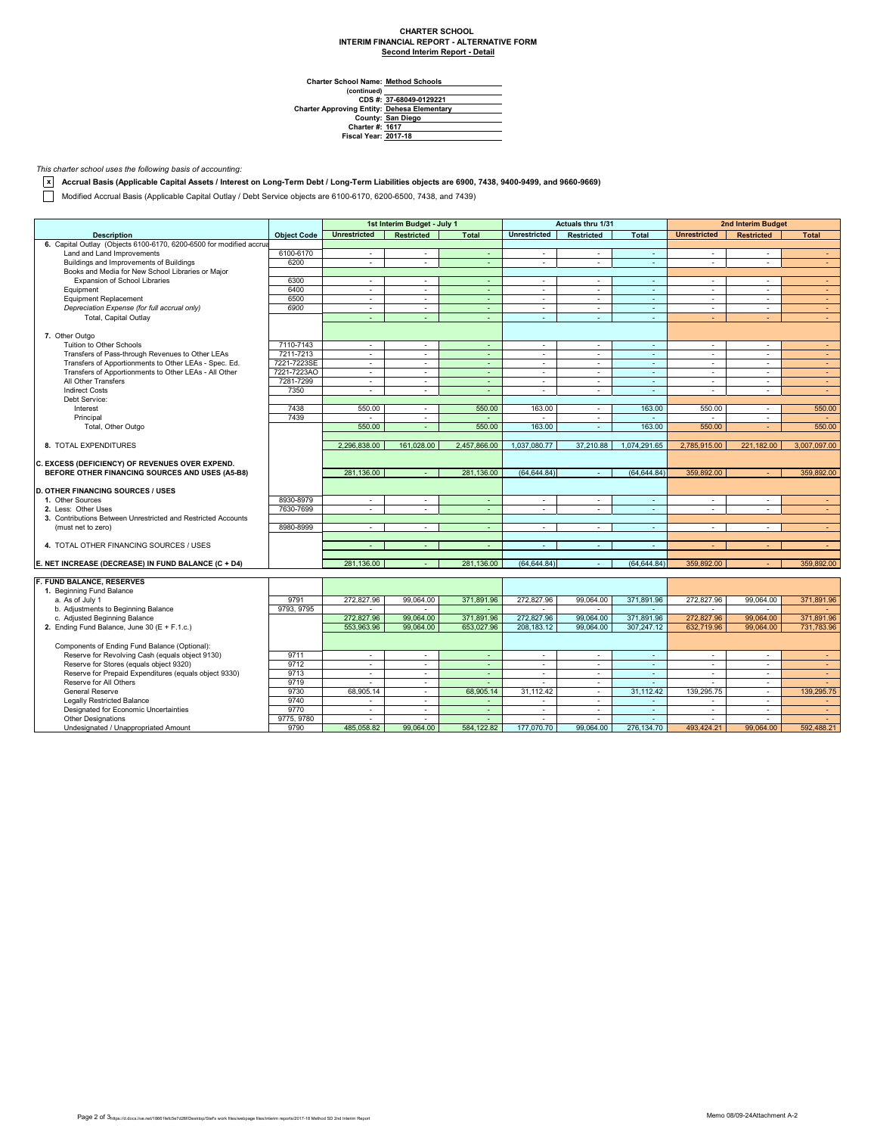## **CHARTER SCHOOL INTERIM FINANCIAL REPORT - ALTERNATIVE FORM Second Interim Report - Detail**

**Charter School Name: Method Schools**

(continued)<br>CDS #: 37-68049-0129221 **CDS #: Charter Approving Entity: County: Charter #: Fiscal Year: 37-68049-0129221 Dehesa Elementary San Diego 1617 2017-18**

## *This charter school uses the following basis of accounting:*

**x Accrual Basis (Applicable Capital Assets / Interest on Long-Term Debt / Long-Term Liabilities objects are 6900, 7438, 9400-9499, and 9660-9669)**

Modified Accrual Basis (Applicable Capital Outlay / Debt Service objects are 6100-6170, 6200-6500, 7438, and 7439)

|                                                                     |                    |                     | 1st Interim Budget - July 1 |                          |                     | <b>Actuals thru 1/31</b> |                |                          | 2nd Interim Budget |              |
|---------------------------------------------------------------------|--------------------|---------------------|-----------------------------|--------------------------|---------------------|--------------------------|----------------|--------------------------|--------------------|--------------|
| <b>Description</b>                                                  | <b>Object Code</b> | <b>Unrestricted</b> | <b>Restricted</b>           | <b>Total</b>             | <b>Unrestricted</b> | <b>Restricted</b>        | <b>Total</b>   | <b>Unrestricted</b>      | <b>Restricted</b>  | <b>Total</b> |
| 6. Capital Outlay (Objects 6100-6170, 6200-6500 for modified accrua |                    |                     |                             |                          |                     |                          |                |                          |                    |              |
| Land and Land Improvements                                          | 6100-6170          | $\sim$              | $\sim$                      | $\sim$                   | $\sim$              | $\sim$                   | $\sim$         | $\sim$                   | $\sim$             | $\sim$       |
| Buildings and Improvements of Buildings                             | 6200               | $\sim$              | $\sim$                      | ä,                       | $\sim$              | $\sim$                   | G.             | $\overline{\phantom{a}}$ | $\sim$             | $\omega$     |
| Books and Media for New School Libraries or Major                   |                    |                     |                             |                          |                     |                          |                |                          |                    |              |
| Expansion of School Libraries                                       | 6300               | $\sim$              | $\sim$                      | $\sim$                   | $\sim$              | $\sim$                   | $\sim$         | $\sim$                   | $\sim$             | $\sim$       |
| Equipment                                                           | 6400               | $\sim$              | $\sim$                      | $\omega$                 | $\sim$              | $\sim$                   | $\blacksquare$ | $\blacksquare$           | $\sim$             | $\sim$       |
| <b>Equipment Replacement</b>                                        | 6500               | $\sim$              | $\sim$                      | $\sim$                   | $\sim$              | $\sim$                   | $\omega$       | $\sim$                   | $\sim$             | $\sim$       |
| Depreciation Expense (for full accrual only)                        | 6900               | $\sim$              | $\sim$                      | $\overline{\phantom{a}}$ | $\sim$              | $\sim$                   | $\sim$         | $\sim$                   | $\sim$             | $\sim$       |
| Total, Capital Outlay                                               |                    |                     | ä,                          | ÷.                       | $\sim$              | $\omega$                 | ÷.             | ÷                        |                    | $\omega$     |
|                                                                     |                    |                     |                             |                          |                     |                          |                |                          |                    |              |
| 7. Other Outgo                                                      |                    |                     |                             |                          |                     |                          |                |                          |                    |              |
| Tuition to Other Schools                                            | 7110-7143          | $\sim$              | $\sim$                      | $\omega$                 | $\sim$              | $\sim$                   | $\blacksquare$ | $\blacksquare$           | $\sim$             | $\sim$       |
| Transfers of Pass-through Revenues to Other LEAs                    | 7211-7213          | $\sim$              | $\sim$                      | $\sim$                   | $\sim$              | $\sim$                   | $\sim$         | $\sim$                   | $\sim$             | $\sim$       |
| Transfers of Apportionments to Other LEAs - Spec. Ed.               | 7221-7223SE        | $\sim$              | $\sim$                      | $\sim$                   | $\sim$              | $\sim$                   | $\sim$         | $\sim$                   | $\sim$             | $\sim$       |
| Transfers of Apportionments to Other LEAs - All Other               | 7221-7223AO        | $\blacksquare$      | $\blacksquare$              | ÷.                       | $\blacksquare$      | $\sim$                   | $\mathbb{Z}^2$ | $\blacksquare$           | $\sim$             | $\omega$     |
| All Other Transfers                                                 | 7281-7299          | $\sim$              | $\sim$                      | $\sim$                   | $\sim$              | $\sim$                   | $\omega$       | $\sim$                   | $\sim$             | $\sim$       |
| <b>Indirect Costs</b>                                               | 7350               | $\sim$              | $\sim$                      | ÷.                       | $\sim$              | $\sim$                   | ÷.             | $\sim$                   | ÷.                 | $\omega$     |
| Debt Service:                                                       |                    |                     |                             |                          |                     |                          |                |                          |                    |              |
| Interest                                                            | 7438               | 550.00              | $\sim$                      | 550.00                   | 163.00              | $\sim$                   | 163.00         | 550.00                   | $\sim$             | 550.00       |
| Principal                                                           | 7439               | $\sim$              | $\sim$                      | $\sim$                   | $\sim$              | $\sim$                   | $\sim$         | $\overline{\phantom{a}}$ | $\sim$             | $\sim$       |
| Total, Other Outgo                                                  |                    | 550.00              | ÷.                          | 550.00                   | 163.00              | $\omega$                 | 163.00         | 550.00                   |                    | 550.00       |
|                                                                     |                    |                     |                             |                          |                     |                          |                |                          |                    |              |
| 8. TOTAL EXPENDITURES                                               |                    | 2,296,838.00        | 161.028.00                  | 2,457,866.00             | 1,037,080.77        | 37,210.88                | 1,074,291.65   | 2,785,915.00             | 221,182.00         | 3,007,097.00 |
|                                                                     |                    |                     |                             |                          |                     |                          |                |                          |                    |              |
| C. EXCESS (DEFICIENCY) OF REVENUES OVER EXPEND.                     |                    |                     |                             |                          |                     |                          |                |                          |                    |              |
| BEFORE OTHER FINANCING SOURCES AND USES (A5-B8)                     |                    | 281.136.00          | ÷                           | 281.136.00               | (64, 644.84)        | $\sim$                   | (64.644.84)    | 359,892.00               |                    | 359,892.00   |
|                                                                     |                    |                     |                             |                          |                     |                          |                |                          |                    |              |
| <b>D. OTHER FINANCING SOURCES / USES</b>                            |                    |                     |                             |                          |                     |                          |                |                          |                    |              |
| 1. Other Sources                                                    | 8930-8979          | $\sim$              | $\sim$                      | $\omega$                 | $\sim$              | $\sim$                   | $\sim$         | $\sim$                   | $\sim$             | $\sim$       |
| 2. Less: Other Uses                                                 | 7630-7699          | $\blacksquare$      | $\sim$                      | ÷.                       | $\bar{\phantom{a}}$ | $\equiv$                 | $\omega$       | $\overline{\phantom{a}}$ |                    | $\omega$     |
| 3. Contributions Between Unrestricted and Restricted Accounts       |                    |                     |                             |                          |                     |                          |                |                          |                    |              |
| (must net to zero)                                                  | 8980-8999          | $\sim$              | $\sim$                      | $\sim$                   | $\sim$              | $\sim$                   | $\sim$         | $\sim$                   | $\sim$             | $\sim$       |
|                                                                     |                    |                     |                             |                          |                     |                          |                |                          |                    |              |
| 4. TOTAL OTHER FINANCING SOURCES / USES                             |                    | $\sim$              | $\sim$                      | $\sim$                   | $\sim$              | $\sim$                   | $\sim$         | ÷                        | $\sim$             | $\sim$       |
|                                                                     |                    |                     |                             |                          |                     |                          |                |                          |                    |              |
| E. NET INCREASE (DECREASE) IN FUND BALANCE (C + D4)                 |                    | 281,136.00          | ÷.                          | 281,136.00               | (64, 644, 84)       | $\omega$                 | (64, 644.84)   | 359,892.00               |                    | 359,892.00   |
|                                                                     |                    |                     |                             |                          |                     |                          |                |                          |                    |              |
| <b>F. FUND BALANCE. RESERVES</b>                                    |                    |                     |                             |                          |                     |                          |                |                          |                    |              |
| 1. Beginning Fund Balance                                           |                    |                     |                             |                          |                     |                          |                |                          |                    |              |
| a. As of July 1                                                     | 9791               | 272,827.96          | 99,064.00                   | 371,891.96               | 272,827.96          | 99,064.00                | 371,891.96     | 272,827.96               | 99,064.00          | 371,891.96   |
| b. Adjustments to Beginning Balance                                 | 9793, 9795         |                     |                             |                          |                     |                          |                |                          |                    |              |
| c. Adjusted Beginning Balance                                       |                    | 272,827.96          | 99,064.00                   | 371,891.96               | 272,827.96          | 99,064.00                | 371,891.96     | 272,827.96               | 99,064.00          | 371,891.96   |
| 2. Ending Fund Balance, June 30 (E + F.1.c.)                        |                    | 553.963.96          | 99,064.00                   | 653.027.96               | 208, 183. 12        | 99.064.00                | 307,247.12     | 632.719.96               | 99,064.00          | 731,783.96   |
|                                                                     |                    |                     |                             |                          |                     |                          |                |                          |                    |              |
| Components of Ending Fund Balance (Optional):                       |                    |                     |                             |                          |                     |                          |                |                          |                    |              |
| Reserve for Revolving Cash (equals object 9130)                     | 9711               | $\sim$              | $\sim$                      | $\sim$                   | $\sim$              | $\sim$                   | $\sim$         | $\sim$                   | $\sim$             | $\sim$       |
| Reserve for Stores (equals object 9320)                             | 9712               | $\mathbf{r}$        | $\sim$                      | ÷.                       | $\mathbf{r}$        | $\sim$                   | $\omega$       | $\sim$                   | $\sim$             | $\sim$       |
| Reserve for Prepaid Expenditures (equals object 9330)               | 9713               | $\sim$              | $\sim$                      | ÷.                       | $\sim$              | $\sim$                   | $\omega$       | $\sim$                   | $\sim$             | $\sim$       |
| Reserve for All Others                                              | 9719               | $\sim$              | $\sim$                      | ÷.                       | $\sim$              | $\sim$                   | $\omega$       | $\sim$                   | $\sim$             | $\sim$       |
| General Reserve                                                     | 9730               | 68,905.14           | $\sim$                      | 68,905.14                | 31,112.42           | $\sim$                   | 31,112.42      | 139,295.75               | $\sim$             | 139,295.75   |
| <b>Legally Restricted Balance</b>                                   | 9740               | $\sim$              | $\sim$                      | $\sim$                   | $\sim$              | $\sim$                   | $\sim$         | $\sim$                   | $\sim$             | $\sim$       |
| Designated for Economic Uncertainties                               | 9770               | $\sim$              | $\sim$                      | $\omega_{\rm c}$         | $\sim$              | $\sim$                   | $\omega$ .     | $\sim$                   | $\sim$             | $\sim$       |
| <b>Other Designations</b>                                           | 9775, 9780         |                     |                             |                          |                     |                          |                |                          |                    |              |
| Undesignated / Unappropriated Amount                                | 9790               | 485.058.82          | 99.064.00                   | 584.122.82               | 177.070.70          | 99.064.00                | 276.134.70     | 493.424.21               | 99.064.00          | 592.488.21   |